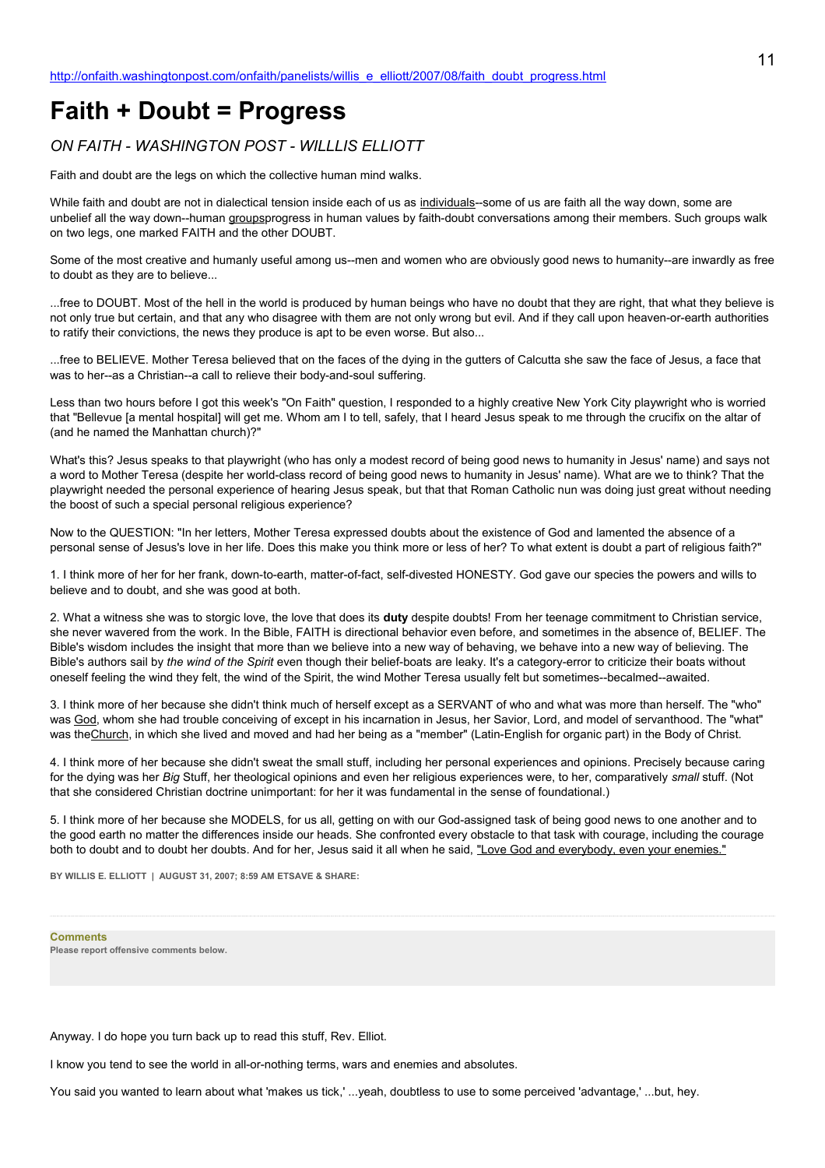# **Faith + Doubt = Progress**

## *ON FAITH - WASHINGTON POST - WILLLIS ELLIOTT*

Faith and doubt are the legs on which the collective human mind walks.

While faith and doubt are not in dialectical tension inside each of us as individuals--some of us are faith all the way down, some are unbelief all the way down--human groupsprogress in human values by faith-doubt conversations among their members. Such groups walk on two legs, one marked FAITH and the other DOUBT.

Some of the most creative and humanly useful among us--men and women who are obviously good news to humanity--are inwardly as free to doubt as they are to believe...

...free to DOUBT. Most of the hell in the world is produced by human beings who have no doubt that they are right, that what they believe is not only true but certain, and that any who disagree with them are not only wrong but evil. And if they call upon heaven-or-earth authorities to ratify their convictions, the news they produce is apt to be even worse. But also...

...free to BELIEVE. Mother Teresa believed that on the faces of the dying in the gutters of Calcutta she saw the face of Jesus, a face that was to her--as a Christian--a call to relieve their body-and-soul suffering.

Less than two hours before I got this week's "On Faith" question, I responded to a highly creative New York City playwright who is worried that "Bellevue [a mental hospital] will get me. Whom am I to tell, safely, that I heard Jesus speak to me through the crucifix on the altar of (and he named the Manhattan church)?"

What's this? Jesus speaks to that playwright (who has only a modest record of being good news to humanity in Jesus' name) and says not a word to Mother Teresa (despite her world-class record of being good news to humanity in Jesus' name). What are we to think? That the playwright needed the personal experience of hearing Jesus speak, but that that Roman Catholic nun was doing just great without needing the boost of such a special personal religious experience?

Now to the QUESTION: "In her letters, Mother Teresa expressed doubts about the existence of God and lamented the absence of a personal sense of Jesus's love in her life. Does this make you think more or less of her? To what extent is doubt a part of religious faith?"

1. I think more of her for her frank, down-to-earth, matter-of-fact, self-divested HONESTY. God gave our species the powers and wills to believe and to doubt, and she was good at both.

2. What a witness she was to storgic love, the love that does its **duty** despite doubts! From her teenage commitment to Christian service, she never wavered from the work. In the Bible, FAITH is directional behavior even before, and sometimes in the absence of, BELIEF. The Bible's wisdom includes the insight that more than we believe into a new way of behaving, we behave into a new way of believing. The Bible's authors sail by *the wind of the Spirit* even though their belief-boats are leaky. It's a category-error to criticize their boats without oneself feeling the wind they felt, the wind of the Spirit, the wind Mother Teresa usually felt but sometimes--becalmed--awaited.

3. I think more of her because she didn't think much of herself except as a SERVANT of who and what was more than herself. The "who" was God, whom she had trouble conceiving of except in his incarnation in Jesus, her Savior, Lord, and model of servanthood. The "what" was the Church, in which she lived and moved and had her being as a "member" (Latin-English for organic part) in the Body of Christ.

4. I think more of her because she didn't sweat the small stuff, including her personal experiences and opinions. Precisely because caring for the dying was her *Big* Stuff, her theological opinions and even her religious experiences were, to her, comparatively *small* stuff. (Not that she considered Christian doctrine unimportant: for her it was fundamental in the sense of foundational.)

5. I think more of her because she MODELS, for us all, getting on with our God-assigned task of being good news to one another and to the good earth no matter the differences inside our heads. She confronted every obstacle to that task with courage, including the courage both to doubt and to doubt her doubts. And for her, Jesus said it all when he said, "Love God and everybody, even your enemies."

**BY WILLIS E. ELLIOTT | AUGUST 31, 2007; 8:59 AM ETSAVE & SHARE:**

**Comments**

**Please report offensive comments below.**

Anyway. I do hope you turn back up to read this stuff, Rev. Elliot.

I know you tend to see the world in all-or-nothing terms, wars and enemies and absolutes.

You said you wanted to learn about what 'makes us tick,' ...yeah, doubtless to use to some perceived 'advantage,' ...but, hey.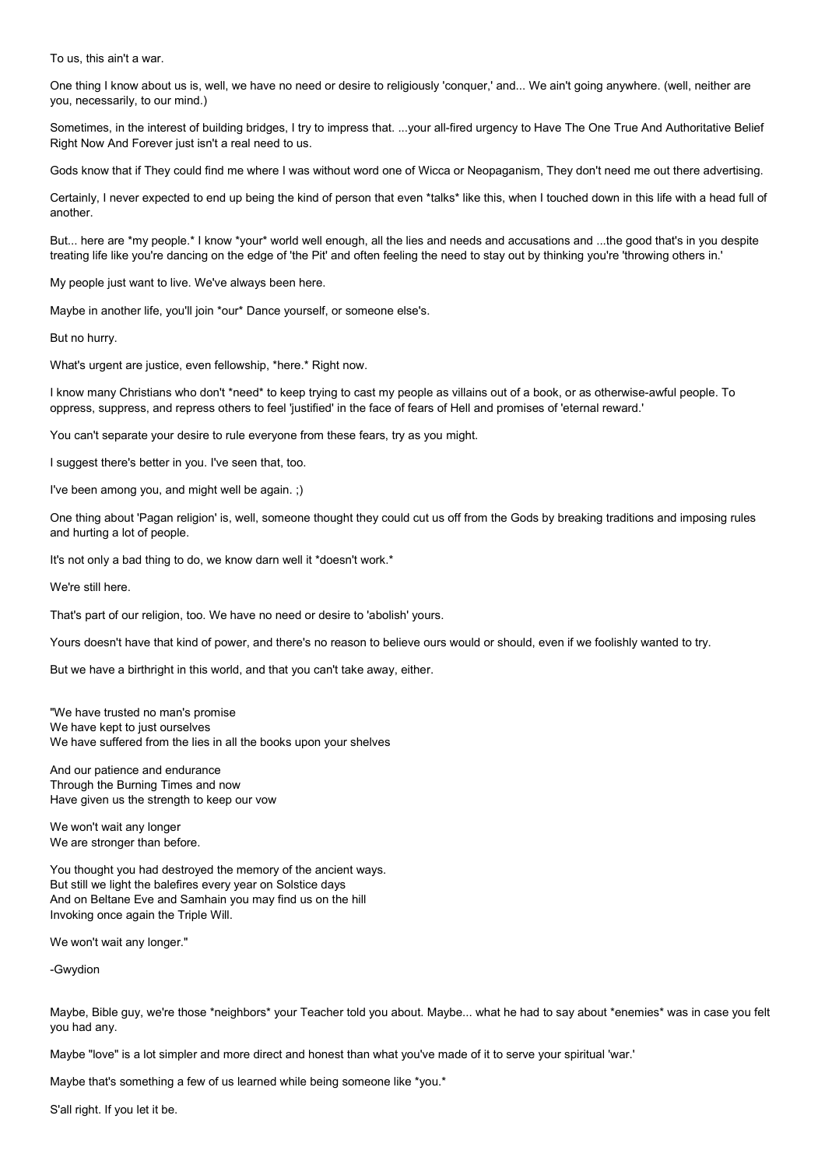To us, this ain't a war.

One thing I know about us is, well, we have no need or desire to religiously 'conquer,' and... We ain't going anywhere. (well, neither are you, necessarily, to our mind.)

Sometimes, in the interest of building bridges, I try to impress that. ...your all-fired urgency to Have The One True And Authoritative Belief Right Now And Forever just isn't a real need to us.

Gods know that if They could find me where I was without word one of Wicca or Neopaganism, They don't need me out there advertising.

Certainly, I never expected to end up being the kind of person that even \*talks\* like this, when I touched down in this life with a head full of another.

But... here are \*my people.\* I know \*your\* world well enough, all the lies and needs and accusations and ...the good that's in you despite treating life like you're dancing on the edge of 'the Pit' and often feeling the need to stay out by thinking you're 'throwing others in.'

My people just want to live. We've always been here.

Maybe in another life, you'll join \*our\* Dance yourself, or someone else's.

But no hurry.

What's urgent are justice, even fellowship, \*here.\* Right now.

I know many Christians who don't \*need\* to keep trying to cast my people as villains out of a book, or as otherwise-awful people. To oppress, suppress, and repress others to feel 'justified' in the face of fears of Hell and promises of 'eternal reward.'

You can't separate your desire to rule everyone from these fears, try as you might.

I suggest there's better in you. I've seen that, too.

I've been among you, and might well be again. ;)

One thing about 'Pagan religion' is, well, someone thought they could cut us off from the Gods by breaking traditions and imposing rules and hurting a lot of people.

It's not only a bad thing to do, we know darn well it \*doesn't work.\*

We're still here.

That's part of our religion, too. We have no need or desire to 'abolish' yours.

Yours doesn't have that kind of power, and there's no reason to believe ours would or should, even if we foolishly wanted to try.

But we have a birthright in this world, and that you can't take away, either.

"We have trusted no man's promise We have kept to just ourselves We have suffered from the lies in all the books upon your shelves

And our patience and endurance Through the Burning Times and now Have given us the strength to keep our vow

We won't wait any longer We are stronger than before.

You thought you had destroyed the memory of the ancient ways. But still we light the balefires every year on Solstice days And on Beltane Eve and Samhain you may find us on the hill Invoking once again the Triple Will.

We won't wait any longer."

-Gwydion

Maybe, Bible guy, we're those \*neighbors\* your Teacher told you about. Maybe... what he had to say about \*enemies\* was in case you felt you had any.

Maybe "love" is a lot simpler and more direct and honest than what you've made of it to serve your spiritual 'war.'

Maybe that's something a few of us learned while being someone like \*you.\*

S'all right. If you let it be.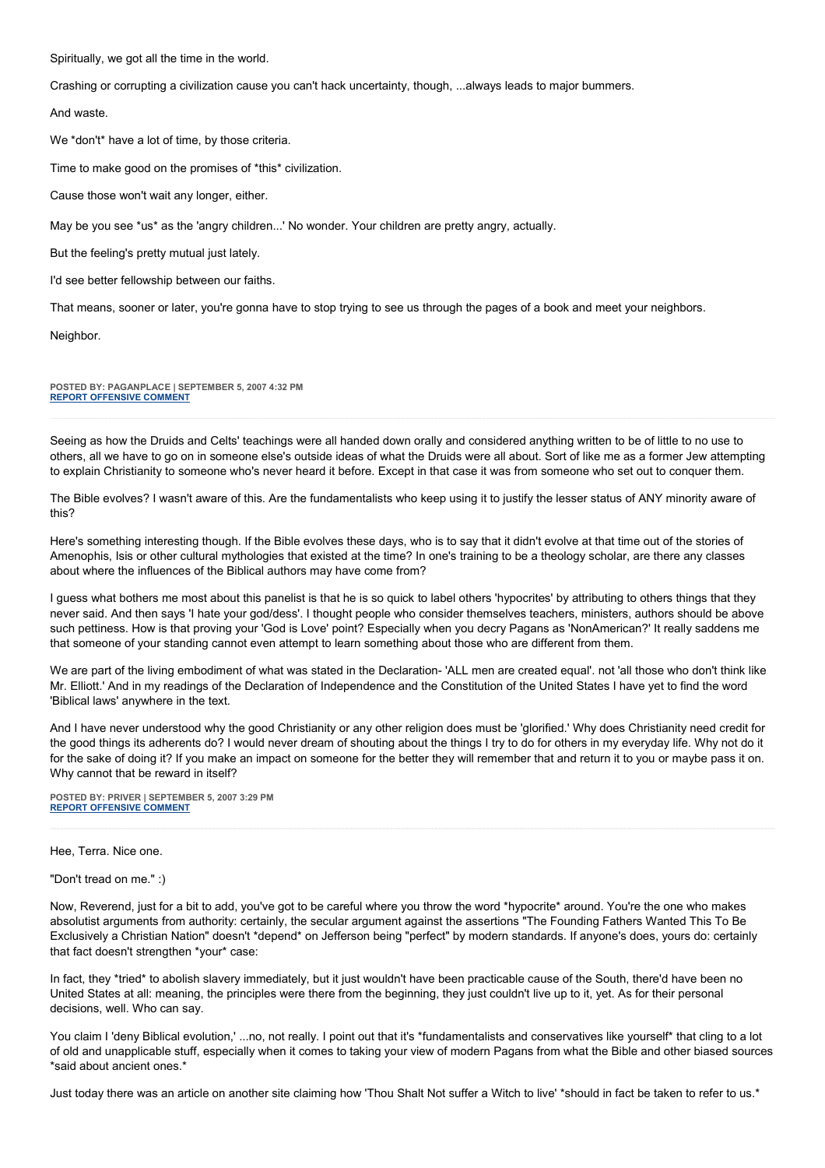Spiritually, we got all the time in the world.

Crashing or corrupting a civilization cause you can't hack uncertainty, though, ...always leads to major bummers.

And waste.

We \*don't\* have a lot of time, by those criteria.

Time to make good on the promises of \*this\* civilization.

Cause those won't wait any longer, either.

May be you see \*us\* as the 'angry children...' No wonder. Your children are pretty angry, actually.

But the feeling's pretty mutual just lately.

I'd see better fellowship between our faiths.

That means, sooner or later, you're gonna have to stop trying to see us through the pages of a book and meet your neighbors.

Neighbor.

**POSTED BY: PAGANPLACE | SEPTEMBER 5, 2007 4:32 PM [REPORT OFFENSIVE COMMENT](mailto:blogs@washingtonpost.com?subject=On%20Faith%20Panelists%20Blog%20%20%7C%20%20Paganplace%20%20%7C%20%20Faith%20+%20Doubt%20=%20Progress%20%20%7C%20%201292647&body=%0D%0D%0D%0D%0D================%0D?__mode=view%26_type=comment%26id=1292647%26blog_id=618)**

Seeing as how the Druids and Celts' teachings were all handed down orally and considered anything written to be of little to no use to others, all we have to go on in someone else's outside ideas of what the Druids were all about. Sort of like me as a former Jew attempting to explain Christianity to someone who's never heard it before. Except in that case it was from someone who set out to conquer them.

The Bible evolves? I wasn't aware of this. Are the fundamentalists who keep using it to justify the lesser status of ANY minority aware of this?

Here's something interesting though. If the Bible evolves these days, who is to say that it didn't evolve at that time out of the stories of Amenophis, Isis or other cultural mythologies that existed at the time? In one's training to be a theology scholar, are there any classes about where the influences of the Biblical authors may have come from?

I guess what bothers me most about this panelist is that he is so quick to label others 'hypocrites' by attributing to others things that they never said. And then says 'I hate your god/dess'. I thought people who consider themselves teachers, ministers, authors should be above such pettiness. How is that proving your 'God is Love' point? Especially when you decry Pagans as 'NonAmerican?' It really saddens me that someone of your standing cannot even attempt to learn something about those who are different from them.

We are part of the living embodiment of what was stated in the Declaration- 'ALL men are created equal'. not 'all those who don't think like Mr. Elliott.' And in my readings of the Declaration of Independence and the Constitution of the United States I have yet to find the word 'Biblical laws' anywhere in the text.

And I have never understood why the good Christianity or any other religion does must be 'glorified.' Why does Christianity need credit for the good things its adherents do? I would never dream of shouting about the things I try to do for others in my everyday life. Why not do it for the sake of doing it? If you make an impact on someone for the better they will remember that and return it to you or maybe pass it on. Why cannot that be reward in itself?

**POSTED BY: PRIVER | SEPTEMBER 5, 2007 3:29 PM [REPORT OFFENSIVE COMMENT](mailto:blogs@washingtonpost.com?subject=On%20Faith%20Panelists%20Blog%20%20%7C%20%20PriveR%20%20%7C%20%20Faith%20+%20Doubt%20=%20Progress%20%20%7C%20%201292456&body=%0D%0D%0D%0D%0D================%0D?__mode=view%26_type=comment%26id=1292456%26blog_id=618)**

#### Hee, Terra. Nice one.

"Don't tread on me." :)

Now, Reverend, just for a bit to add, you've got to be careful where you throw the word \*hypocrite\* around. You're the one who makes absolutist arguments from authority: certainly, the secular argument against the assertions "The Founding Fathers Wanted This To Be Exclusively a Christian Nation" doesn't \*depend\* on Jefferson being "perfect" by modern standards. If anyone's does, yours do: certainly that fact doesn't strengthen \*your\* case:

In fact, they \*tried\* to abolish slavery immediately, but it just wouldn't have been practicable cause of the South, there'd have been no United States at all: meaning, the principles were there from the beginning, they just couldn't live up to it, yet. As for their personal decisions, well. Who can say.

You claim I 'deny Biblical evolution,' ...no, not really. I point out that it's \*fundamentalists and conservatives like yourself\* that cling to a lot of old and unapplicable stuff, especially when it comes to taking your view of modern Pagans from what the Bible and other biased sources \*said about ancient ones.\*

Just today there was an article on another site claiming how 'Thou Shalt Not suffer a Witch to live' \*should in fact be taken to refer to us.\*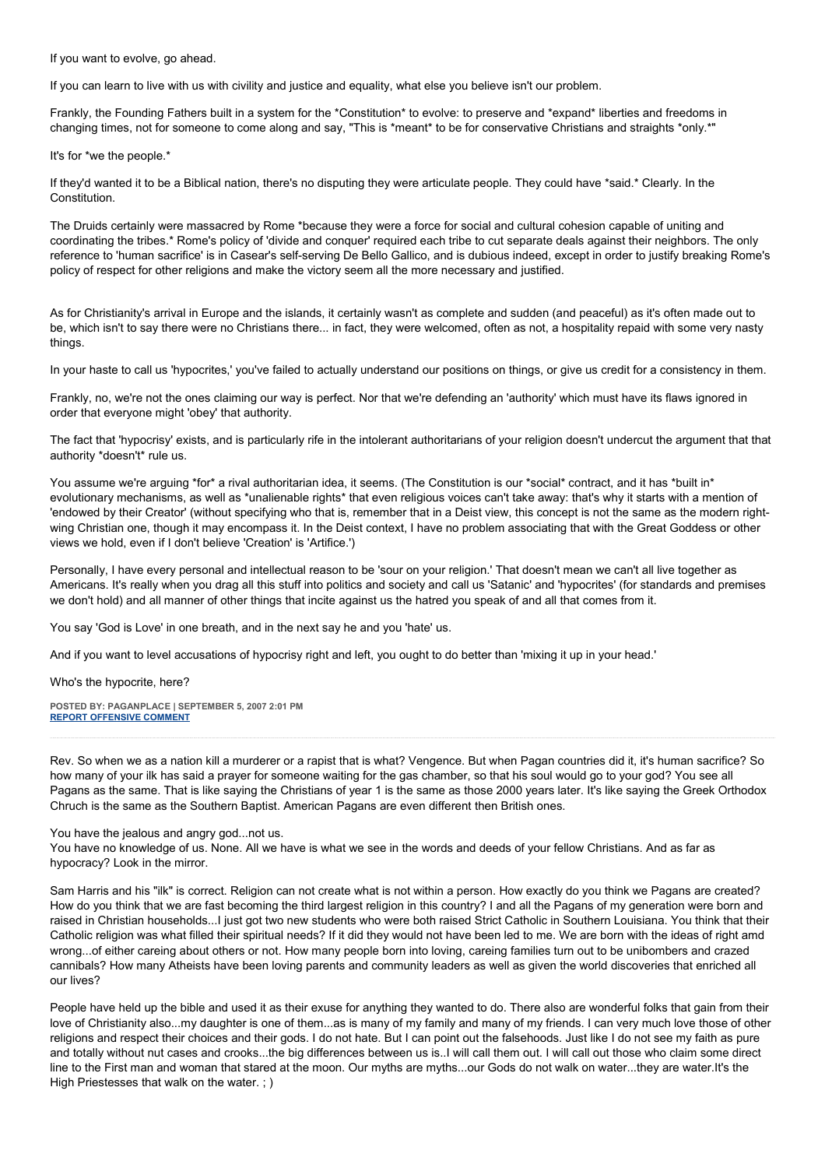If you want to evolve, go ahead.

If you can learn to live with us with civility and justice and equality, what else you believe isn't our problem.

Frankly, the Founding Fathers built in a system for the \*Constitution\* to evolve: to preserve and \*expand\* liberties and freedoms in changing times, not for someone to come along and say, "This is \*meant\* to be for conservative Christians and straights \*only.\*"

It's for \*we the people.\*

If they'd wanted it to be a Biblical nation, there's no disputing they were articulate people. They could have \*said.\* Clearly. In the Constitution.

The Druids certainly were massacred by Rome \*because they were a force for social and cultural cohesion capable of uniting and coordinating the tribes.\* Rome's policy of 'divide and conquer' required each tribe to cut separate deals against their neighbors. The only reference to 'human sacrifice' is in Casear's self-serving De Bello Gallico, and is dubious indeed, except in order to justify breaking Rome's policy of respect for other religions and make the victory seem all the more necessary and justified.

As for Christianity's arrival in Europe and the islands, it certainly wasn't as complete and sudden (and peaceful) as it's often made out to be, which isn't to say there were no Christians there... in fact, they were welcomed, often as not, a hospitality repaid with some very nasty things.

In your haste to call us 'hypocrites,' you've failed to actually understand our positions on things, or give us credit for a consistency in them.

Frankly, no, we're not the ones claiming our way is perfect. Nor that we're defending an 'authority' which must have its flaws ignored in order that everyone might 'obey' that authority.

The fact that 'hypocrisy' exists, and is particularly rife in the intolerant authoritarians of your religion doesn't undercut the argument that that authority \*doesn't\* rule us.

You assume we're arguing \*for\* a rival authoritarian idea, it seems. (The Constitution is our \*social\* contract, and it has \*built in\* evolutionary mechanisms, as well as \*unalienable rights\* that even religious voices can't take away: that's why it starts with a mention of 'endowed by their Creator' (without specifying who that is, remember that in a Deist view, this concept is not the same as the modern rightwing Christian one, though it may encompass it. In the Deist context, I have no problem associating that with the Great Goddess or other views we hold, even if I don't believe 'Creation' is 'Artifice.')

Personally, I have every personal and intellectual reason to be 'sour on your religion.' That doesn't mean we can't all live together as Americans. It's really when you drag all this stuff into politics and society and call us 'Satanic' and 'hypocrites' (for standards and premises we don't hold) and all manner of other things that incite against us the hatred you speak of and all that comes from it.

You say 'God is Love' in one breath, and in the next say he and you 'hate' us.

And if you want to level accusations of hypocrisy right and left, you ought to do better than 'mixing it up in your head.'

Who's the hypocrite, here?

**POSTED BY: PAGANPLACE | SEPTEMBER 5, 2007 2:01 PM [REPORT OFFENSIVE COMMENT](mailto:blogs@washingtonpost.com?subject=On%20Faith%20Panelists%20Blog%20%20%7C%20%20Paganplace%20%20%7C%20%20Faith%20+%20Doubt%20=%20Progress%20%20%7C%20%201292190&body=%0D%0D%0D%0D%0D================%0D?__mode=view%26_type=comment%26id=1292190%26blog_id=618)**

Rev. So when we as a nation kill a murderer or a rapist that is what? Vengence. But when Pagan countries did it, it's human sacrifice? So how many of your ilk has said a prayer for someone waiting for the gas chamber, so that his soul would go to your god? You see all Pagans as the same. That is like saying the Christians of year 1 is the same as those 2000 years later. It's like saying the Greek Orthodox Chruch is the same as the Southern Baptist. American Pagans are even different then British ones.

You have the jealous and angry god...not us.

You have no knowledge of us. None. All we have is what we see in the words and deeds of your fellow Christians. And as far as hypocracy? Look in the mirror.

Sam Harris and his "ilk" is correct. Religion can not create what is not within a person. How exactly do you think we Pagans are created? How do you think that we are fast becoming the third largest religion in this country? I and all the Pagans of my generation were born and raised in Christian households...I just got two new students who were both raised Strict Catholic in Southern Louisiana. You think that their Catholic religion was what filled their spiritual needs? If it did they would not have been led to me. We are born with the ideas of right amd wrong...of either careing about others or not. How many people born into loving, careing families turn out to be unibombers and crazed cannibals? How many Atheists have been loving parents and community leaders as well as given the world discoveries that enriched all our lives?

People have held up the bible and used it as their exuse for anything they wanted to do. There also are wonderful folks that gain from their love of Christianity also...my daughter is one of them...as is many of my family and many of my friends. I can very much love those of other religions and respect their choices and their gods. I do not hate. But I can point out the falsehoods. Just like I do not see my faith as pure and totally without nut cases and crooks...the big differences between us is..I will call them out. I will call out those who claim some direct line to the First man and woman that stared at the moon. Our myths are myths...our Gods do not walk on water...they are water.It's the High Priestesses that walk on the water. ; )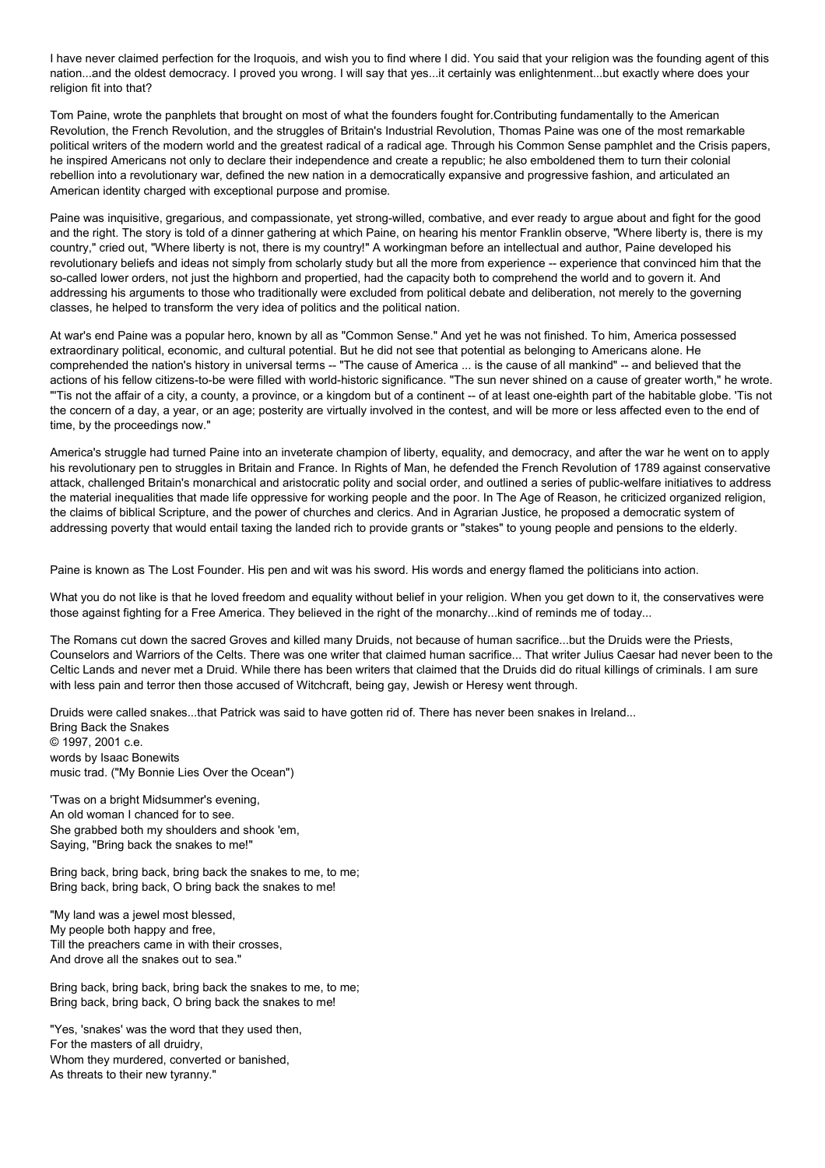I have never claimed perfection for the Iroquois, and wish you to find where I did. You said that your religion was the founding agent of this nation...and the oldest democracy. I proved you wrong. I will say that yes...it certainly was enlightenment...but exactly where does your religion fit into that?

Tom Paine, wrote the panphlets that brought on most of what the founders fought for.Contributing fundamentally to the American Revolution, the French Revolution, and the struggles of Britain's Industrial Revolution, Thomas Paine was one of the most remarkable political writers of the modern world and the greatest radical of a radical age. Through his Common Sense pamphlet and the Crisis papers, he inspired Americans not only to declare their independence and create a republic; he also emboldened them to turn their colonial rebellion into a revolutionary war, defined the new nation in a democratically expansive and progressive fashion, and articulated an American identity charged with exceptional purpose and promise.

Paine was inquisitive, gregarious, and compassionate, yet strong-willed, combative, and ever ready to argue about and fight for the good and the right. The story is told of a dinner gathering at which Paine, on hearing his mentor Franklin observe, "Where liberty is, there is my country," cried out, "Where liberty is not, there is my country!" A workingman before an intellectual and author, Paine developed his revolutionary beliefs and ideas not simply from scholarly study but all the more from experience -- experience that convinced him that the so-called lower orders, not just the highborn and propertied, had the capacity both to comprehend the world and to govern it. And addressing his arguments to those who traditionally were excluded from political debate and deliberation, not merely to the governing classes, he helped to transform the very idea of politics and the political nation.

At war's end Paine was a popular hero, known by all as "Common Sense." And yet he was not finished. To him, America possessed extraordinary political, economic, and cultural potential. But he did not see that potential as belonging to Americans alone. He comprehended the nation's history in universal terms -- "The cause of America ... is the cause of all mankind" -- and believed that the actions of his fellow citizens-to-be were filled with world-historic significance. "The sun never shined on a cause of greater worth," he wrote. "'Tis not the affair of a city, a county, a province, or a kingdom but of a continent -- of at least one-eighth part of the habitable globe. 'Tis not the concern of a day, a year, or an age; posterity are virtually involved in the contest, and will be more or less affected even to the end of time, by the proceedings now."

America's struggle had turned Paine into an inveterate champion of liberty, equality, and democracy, and after the war he went on to apply his revolutionary pen to struggles in Britain and France. In Rights of Man, he defended the French Revolution of 1789 against conservative attack, challenged Britain's monarchical and aristocratic polity and social order, and outlined a series of public-welfare initiatives to address the material inequalities that made life oppressive for working people and the poor. In The Age of Reason, he criticized organized religion, the claims of biblical Scripture, and the power of churches and clerics. And in Agrarian Justice, he proposed a democratic system of addressing poverty that would entail taxing the landed rich to provide grants or "stakes" to young people and pensions to the elderly.

Paine is known as The Lost Founder. His pen and wit was his sword. His words and energy flamed the politicians into action.

What you do not like is that he loved freedom and equality without belief in your religion. When you get down to it, the conservatives were those against fighting for a Free America. They believed in the right of the monarchy...kind of reminds me of today...

The Romans cut down the sacred Groves and killed many Druids, not because of human sacrifice...but the Druids were the Priests, Counselors and Warriors of the Celts. There was one writer that claimed human sacrifice... That writer Julius Caesar had never been to the Celtic Lands and never met a Druid. While there has been writers that claimed that the Druids did do ritual killings of criminals. I am sure with less pain and terror then those accused of Witchcraft, being gay, Jewish or Heresy went through.

Druids were called snakes...that Patrick was said to have gotten rid of. There has never been snakes in Ireland... Bring Back the Snakes © 1997, 2001 c.e. words by Isaac Bonewits music trad. ("My Bonnie Lies Over the Ocean")

'Twas on a bright Midsummer's evening, An old woman I chanced for to see. She grabbed both my shoulders and shook 'em, Saying, "Bring back the snakes to me!"

Bring back, bring back, bring back the snakes to me, to me; Bring back, bring back, O bring back the snakes to me!

"My land was a jewel most blessed, My people both happy and free, Till the preachers came in with their crosses, And drove all the snakes out to sea."

Bring back, bring back, bring back the snakes to me, to me; Bring back, bring back, O bring back the snakes to me!

"Yes, 'snakes' was the word that they used then, For the masters of all druidry, Whom they murdered, converted or banished, As threats to their new tyranny."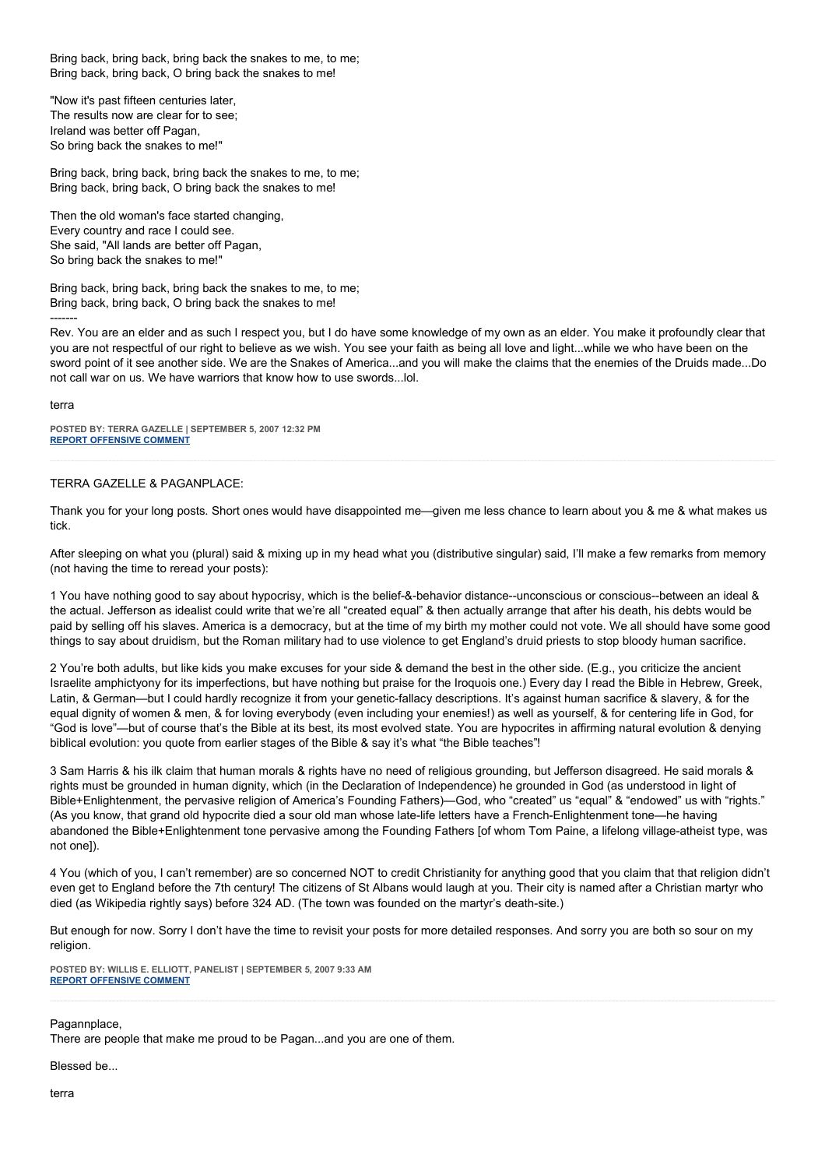Bring back, bring back, bring back the snakes to me, to me; Bring back, bring back, O bring back the snakes to me!

"Now it's past fifteen centuries later, The results now are clear for to see; Ireland was better off Pagan, So bring back the snakes to me!"

Bring back, bring back, bring back the snakes to me, to me; Bring back, bring back, O bring back the snakes to me!

Then the old woman's face started changing, Every country and race I could see. She said, "All lands are better off Pagan, So bring back the snakes to me!"

Bring back, bring back, bring back the snakes to me, to me; Bring back, bring back, O bring back the snakes to me! -------

Rev. You are an elder and as such I respect you, but I do have some knowledge of my own as an elder. You make it profoundly clear that you are not respectful of our right to believe as we wish. You see your faith as being all love and light...while we who have been on the sword point of it see another side. We are the Snakes of America...and you will make the claims that the enemies of the Druids made...Do not call war on us. We have warriors that know how to use swords...lol.

#### terra

**POSTED BY: TERRA GAZELLE | SEPTEMBER 5, 2007 12:32 PM [REPORT OFFENSIVE COMMENT](mailto:blogs@washingtonpost.com?subject=On%20Faith%20Panelists%20Blog%20%20%7C%20%20Terra%20Gazelle%20%20%7C%20%20Faith%20+%20Doubt%20=%20Progress%20%20%7C%20%201291935&body=%0D%0D%0D%0D%0D================%0D?__mode=view%26_type=comment%26id=1291935%26blog_id=618)**

## TERRA GAZELLE & PAGANPLACE:

Thank you for your long posts. Short ones would have disappointed me—given me less chance to learn about you & me & what makes us tick.

After sleeping on what you (plural) said & mixing up in my head what you (distributive singular) said, I'll make a few remarks from memory (not having the time to reread your posts):

1 You have nothing good to say about hypocrisy, which is the belief-&-behavior distance--unconscious or conscious--between an ideal & the actual. Jefferson as idealist could write that we're all "created equal" & then actually arrange that after his death, his debts would be paid by selling off his slaves. America is a democracy, but at the time of my birth my mother could not vote. We all should have some good things to say about druidism, but the Roman military had to use violence to get England's druid priests to stop bloody human sacrifice.

2 You're both adults, but like kids you make excuses for your side & demand the best in the other side. (E.g., you criticize the ancient Israelite amphictyony for its imperfections, but have nothing but praise for the Iroquois one.) Every day I read the Bible in Hebrew, Greek, Latin, & German—but I could hardly recognize it from your genetic-fallacy descriptions. It's against human sacrifice & slavery, & for the equal dignity of women & men, & for loving everybody (even including your enemies!) as well as yourself, & for centering life in God, for "God is love"—but of course that's the Bible at its best, its most evolved state. You are hypocrites in affirming natural evolution & denying biblical evolution: you quote from earlier stages of the Bible & say it's what "the Bible teaches"!

3 Sam Harris & his ilk claim that human morals & rights have no need of religious grounding, but Jefferson disagreed. He said morals & rights must be grounded in human dignity, which (in the Declaration of Independence) he grounded in God (as understood in light of Bible+Enlightenment, the pervasive religion of America's Founding Fathers)—God, who "created" us "equal" & "endowed" us with "rights." (As you know, that grand old hypocrite died a sour old man whose late-life letters have a French-Enlightenment tone—he having abandoned the Bible+Enlightenment tone pervasive among the Founding Fathers [of whom Tom Paine, a lifelong village-atheist type, was not one]).

4 You (which of you, I can't remember) are so concerned NOT to credit Christianity for anything good that you claim that that religion didn't even get to England before the 7th century! The citizens of St Albans would laugh at you. Their city is named after a Christian martyr who died (as Wikipedia rightly says) before 324 AD. (The town was founded on the martyr's death-site.)

But enough for now. Sorry I don't have the time to revisit your posts for more detailed responses. And sorry you are both so sour on my religion.

**POSTED BY: WILLIS E. ELLIOTT, PANELIST | SEPTEMBER 5, 2007 9:33 AM [REPORT OFFENSIVE COMMENT](mailto:blogs@washingtonpost.com?subject=On%20Faith%20Panelists%20Blog%20%20%7C%20%20Willis%20E.%20Elliott,%20panelist%20%20%7C%20%20Faith%20+%20Doubt%20=%20Progress%20%20%7C%20%201291362&body=%0D%0D%0D%0D%0D================%0D?__mode=view%26_type=comment%26id=1291362%26blog_id=618)**

## Pagannplace.

There are people that make me proud to be Pagan...and you are one of them.

Blessed be...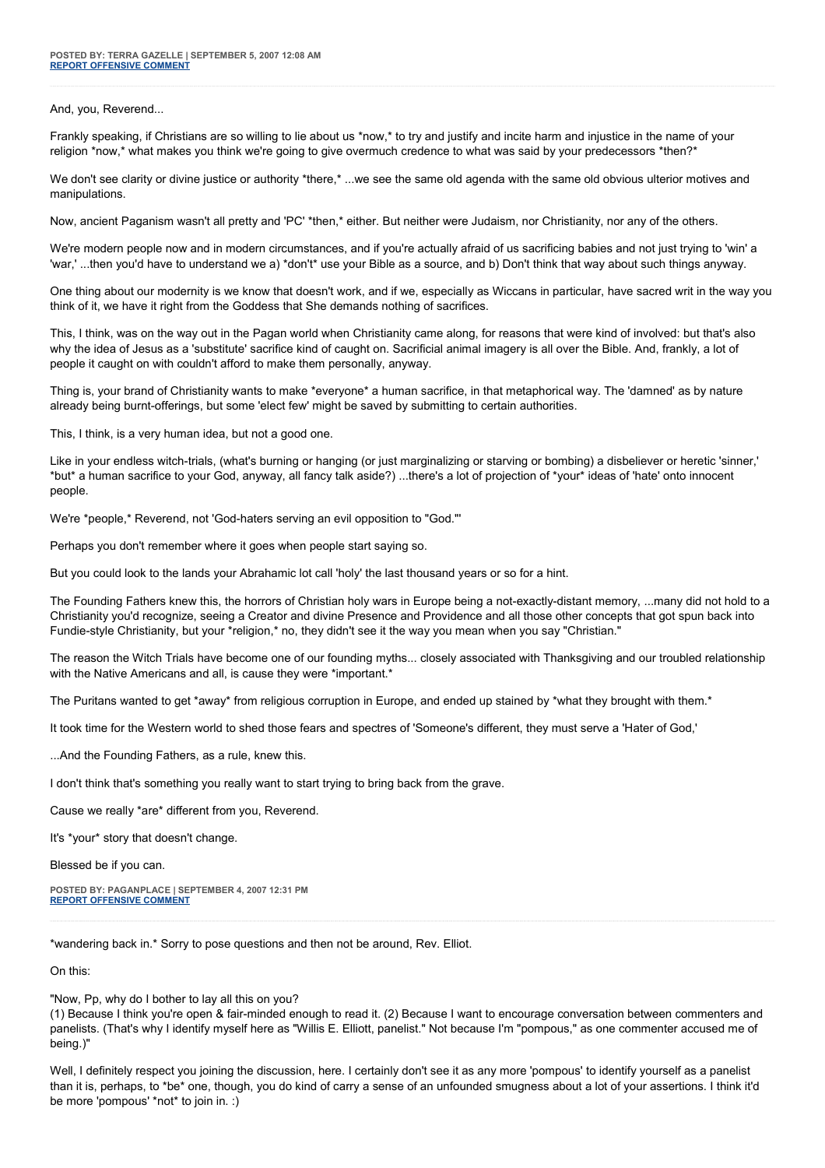## And, you, Reverend...

Frankly speaking, if Christians are so willing to lie about us \*now,\* to try and justify and incite harm and injustice in the name of your religion \*now,\* what makes you think we're going to give overmuch credence to what was said by your predecessors \*then?\*

We don't see clarity or divine justice or authority \*there,\* ...we see the same old agenda with the same old obvious ulterior motives and manipulations.

Now, ancient Paganism wasn't all pretty and 'PC' \*then,\* either. But neither were Judaism, nor Christianity, nor any of the others.

We're modern people now and in modern circumstances, and if you're actually afraid of us sacrificing babies and not just trying to 'win' a 'war,' ...then you'd have to understand we a) \*don't\* use your Bible as a source, and b) Don't think that way about such things anyway.

One thing about our modernity is we know that doesn't work, and if we, especially as Wiccans in particular, have sacred writ in the way you think of it, we have it right from the Goddess that She demands nothing of sacrifices.

This, I think, was on the way out in the Pagan world when Christianity came along, for reasons that were kind of involved: but that's also why the idea of Jesus as a 'substitute' sacrifice kind of caught on. Sacrificial animal imagery is all over the Bible. And, frankly, a lot of people it caught on with couldn't afford to make them personally, anyway.

Thing is, your brand of Christianity wants to make \*everyone\* a human sacrifice, in that metaphorical way. The 'damned' as by nature already being burnt-offerings, but some 'elect few' might be saved by submitting to certain authorities.

This, I think, is a very human idea, but not a good one.

Like in your endless witch-trials, (what's burning or hanging (or just marginalizing or starving or bombing) a disbeliever or heretic 'sinner,' \*but\* a human sacrifice to your God, anyway, all fancy talk aside?) ...there's a lot of projection of \*your\* ideas of 'hate' onto innocent people.

We're \*people,\* Reverend, not 'God-haters serving an evil opposition to "God."'

Perhaps you don't remember where it goes when people start saying so.

But you could look to the lands your Abrahamic lot call 'holy' the last thousand years or so for a hint.

The Founding Fathers knew this, the horrors of Christian holy wars in Europe being a not-exactly-distant memory, ...many did not hold to a Christianity you'd recognize, seeing a Creator and divine Presence and Providence and all those other concepts that got spun back into Fundie-style Christianity, but your \*religion,\* no, they didn't see it the way you mean when you say "Christian."

The reason the Witch Trials have become one of our founding myths... closely associated with Thanksgiving and our troubled relationship with the Native Americans and all, is cause they were \*important.\*

The Puritans wanted to get \*away\* from religious corruption in Europe, and ended up stained by \*what they brought with them.\*

It took time for the Western world to shed those fears and spectres of 'Someone's different, they must serve a 'Hater of God,'

...And the Founding Fathers, as a rule, knew this.

I don't think that's something you really want to start trying to bring back from the grave.

Cause we really \*are\* different from you, Reverend.

It's \*your\* story that doesn't change.

Blessed be if you can.

**POSTED BY: PAGANPLACE | SEPTEMBER 4, 2007 12:31 PM [REPORT OFFENSIVE COMMENT](mailto:blogs@washingtonpost.com?subject=On%20Faith%20Panelists%20Blog%20%20%7C%20%20Paganplace%20%20%7C%20%20Faith%20+%20Doubt%20=%20Progress%20%20%7C%20%201288352&body=%0D%0D%0D%0D%0D================%0D?__mode=view%26_type=comment%26id=1288352%26blog_id=618)**

\*wandering back in.\* Sorry to pose questions and then not be around, Rev. Elliot.

On this:

"Now, Pp, why do I bother to lay all this on you?

(1) Because I think you're open & fair-minded enough to read it. (2) Because I want to encourage conversation between commenters and panelists. (That's why I identify myself here as "Willis E. Elliott, panelist." Not because I'm "pompous," as one commenter accused me of being.)"

Well, I definitely respect you joining the discussion, here. I certainly don't see it as any more 'pompous' to identify yourself as a panelist than it is, perhaps, to \*be\* one, though, you do kind of carry a sense of an unfounded smugness about a lot of your assertions. I think it'd be more 'pompous' \*not\* to join in. :)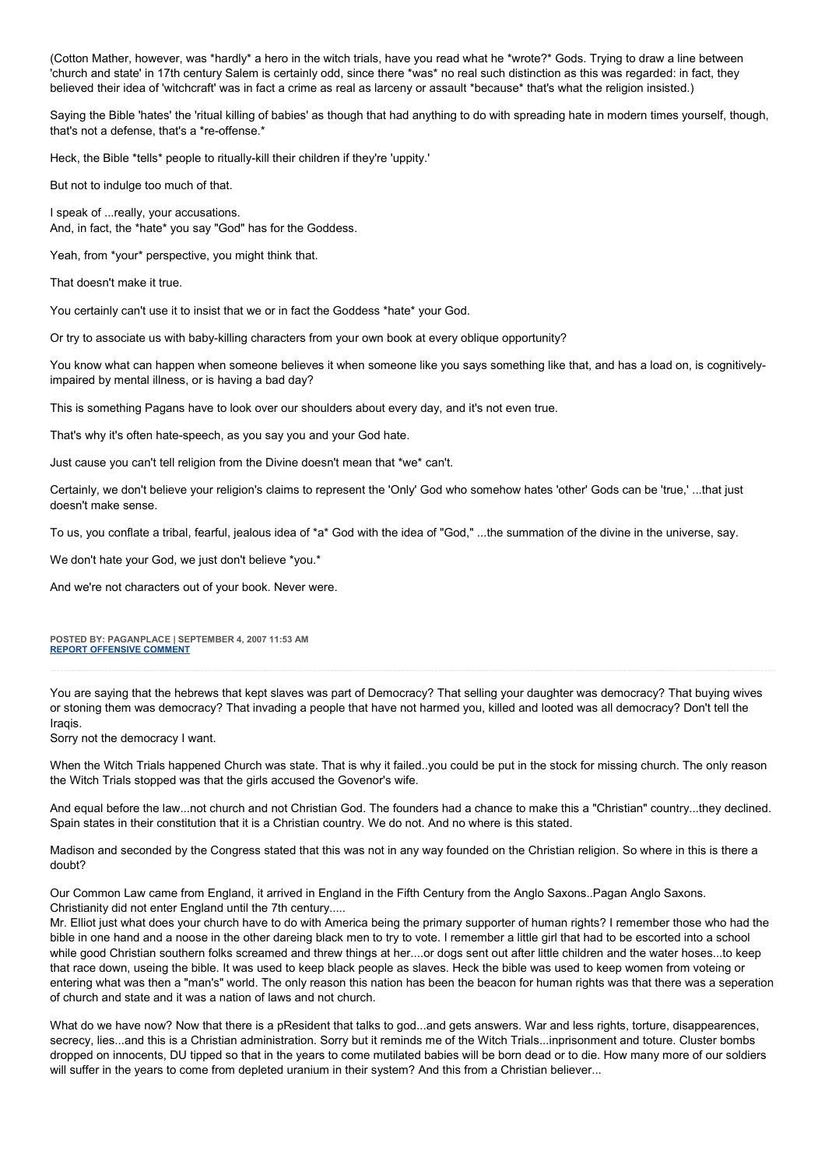(Cotton Mather, however, was \*hardly\* a hero in the witch trials, have you read what he \*wrote?\* Gods. Trying to draw a line between 'church and state' in 17th century Salem is certainly odd, since there \*was\* no real such distinction as this was regarded: in fact, they believed their idea of 'witchcraft' was in fact a crime as real as larceny or assault \*because\* that's what the religion insisted.)

Saying the Bible 'hates' the 'ritual killing of babies' as though that had anything to do with spreading hate in modern times yourself, though, that's not a defense, that's a \*re-offense.\*

Heck, the Bible \*tells\* people to ritually-kill their children if they're 'uppity.'

But not to indulge too much of that.

I speak of ...really, your accusations. And, in fact, the \*hate\* you say "God" has for the Goddess.

Yeah, from \*your\* perspective, you might think that.

That doesn't make it true.

You certainly can't use it to insist that we or in fact the Goddess \*hate\* your God.

Or try to associate us with baby-killing characters from your own book at every oblique opportunity?

You know what can happen when someone believes it when someone like you says something like that, and has a load on, is cognitivelyimpaired by mental illness, or is having a bad day?

This is something Pagans have to look over our shoulders about every day, and it's not even true.

That's why it's often hate-speech, as you say you and your God hate.

Just cause you can't tell religion from the Divine doesn't mean that \*we\* can't.

Certainly, we don't believe your religion's claims to represent the 'Only' God who somehow hates 'other' Gods can be 'true,' ...that just doesn't make sense.

To us, you conflate a tribal, fearful, jealous idea of \*a\* God with the idea of "God," ...the summation of the divine in the universe, say.

We don't hate your God, we just don't believe \*you.\*

And we're not characters out of your book. Never were.

#### **POSTED BY: PAGANPLACE | SEPTEMBER 4, 2007 11:53 AM [REPORT OFFENSIVE COMMENT](mailto:blogs@washingtonpost.com?subject=On%20Faith%20Panelists%20Blog%20%20%7C%20%20Paganplace%20%20%7C%20%20Faith%20+%20Doubt%20=%20Progress%20%20%7C%20%201288233&body=%0D%0D%0D%0D%0D================%0D?__mode=view%26_type=comment%26id=1288233%26blog_id=618)**

You are saying that the hebrews that kept slaves was part of Democracy? That selling your daughter was democracy? That buying wives or stoning them was democracy? That invading a people that have not harmed you, killed and looted was all democracy? Don't tell the Iraqis.

Sorry not the democracy I want.

When the Witch Trials happened Church was state. That is why it failed..you could be put in the stock for missing church. The only reason the Witch Trials stopped was that the girls accused the Govenor's wife.

And equal before the law...not church and not Christian God. The founders had a chance to make this a "Christian" country...they declined. Spain states in their constitution that it is a Christian country. We do not. And no where is this stated.

Madison and seconded by the Congress stated that this was not in any way founded on the Christian religion. So where in this is there a doubt?

Our Common Law came from England, it arrived in England in the Fifth Century from the Anglo Saxons..Pagan Anglo Saxons. Christianity did not enter England until the 7th century.....

Mr. Elliot just what does your church have to do with America being the primary supporter of human rights? I remember those who had the bible in one hand and a noose in the other dareing black men to try to vote. I remember a little girl that had to be escorted into a school while good Christian southern folks screamed and threw things at her....or dogs sent out after little children and the water hoses...to keep that race down, useing the bible. It was used to keep black people as slaves. Heck the bible was used to keep women from voteing or entering what was then a "man's" world. The only reason this nation has been the beacon for human rights was that there was a seperation of church and state and it was a nation of laws and not church.

What do we have now? Now that there is a pResident that talks to god...and gets answers. War and less rights, torture, disappearences, secrecy, lies...and this is a Christian administration. Sorry but it reminds me of the Witch Trials...inprisonment and toture. Cluster bombs dropped on innocents, DU tipped so that in the years to come mutilated babies will be born dead or to die. How many more of our soldiers will suffer in the years to come from depleted uranium in their system? And this from a Christian believer...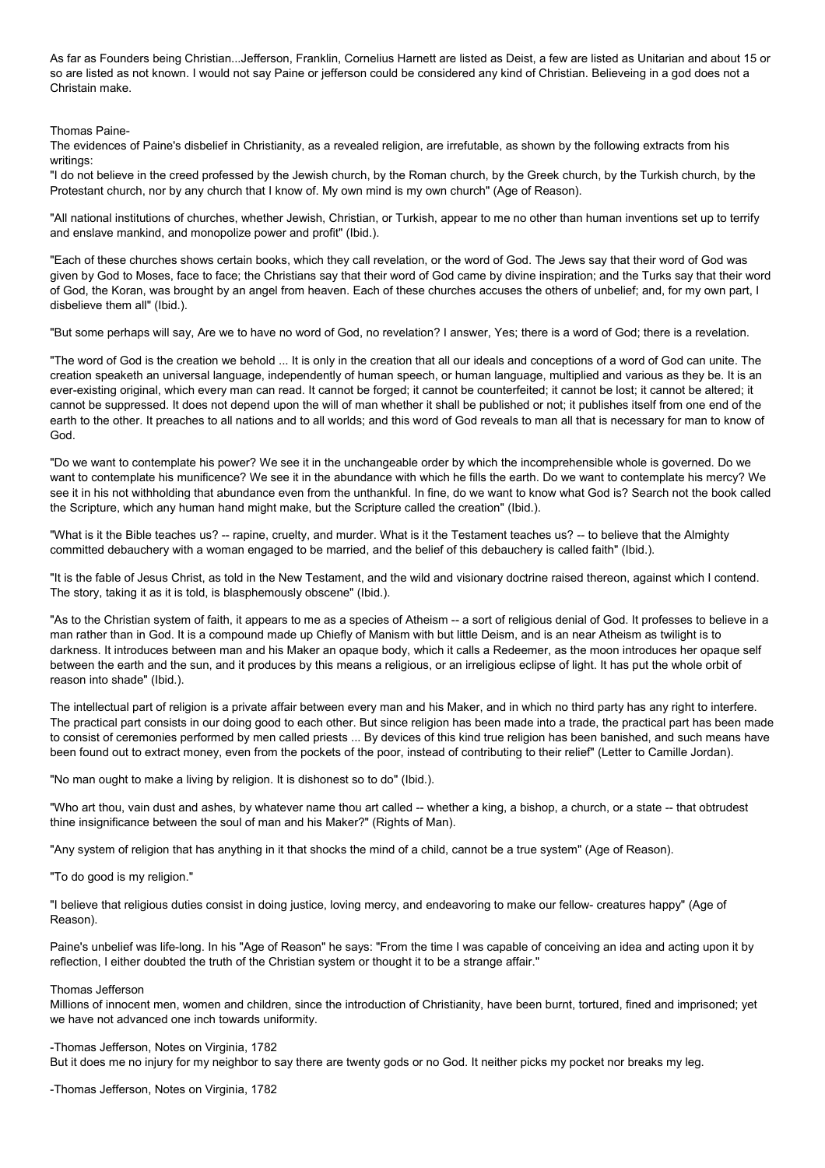As far as Founders being Christian...Jefferson, Franklin, Cornelius Harnett are listed as Deist, a few are listed as Unitarian and about 15 or so are listed as not known. I would not say Paine or jefferson could be considered any kind of Christian. Believeing in a god does not a Christain make.

Thomas Paine-

The evidences of Paine's disbelief in Christianity, as a revealed religion, are irrefutable, as shown by the following extracts from his writings:

"I do not believe in the creed professed by the Jewish church, by the Roman church, by the Greek church, by the Turkish church, by the Protestant church, nor by any church that I know of. My own mind is my own church" (Age of Reason).

"All national institutions of churches, whether Jewish, Christian, or Turkish, appear to me no other than human inventions set up to terrify and enslave mankind, and monopolize power and profit" (Ibid.).

"Each of these churches shows certain books, which they call revelation, or the word of God. The Jews say that their word of God was given by God to Moses, face to face; the Christians say that their word of God came by divine inspiration; and the Turks say that their word of God, the Koran, was brought by an angel from heaven. Each of these churches accuses the others of unbelief; and, for my own part, I disbelieve them all" (Ibid.).

"But some perhaps will say, Are we to have no word of God, no revelation? I answer, Yes; there is a word of God; there is a revelation.

"The word of God is the creation we behold ... It is only in the creation that all our ideals and conceptions of a word of God can unite. The creation speaketh an universal language, independently of human speech, or human language, multiplied and various as they be. It is an ever-existing original, which every man can read. It cannot be forged; it cannot be counterfeited; it cannot be lost; it cannot be altered; it cannot be suppressed. It does not depend upon the will of man whether it shall be published or not; it publishes itself from one end of the earth to the other. It preaches to all nations and to all worlds; and this word of God reveals to man all that is necessary for man to know of God.

"Do we want to contemplate his power? We see it in the unchangeable order by which the incomprehensible whole is governed. Do we want to contemplate his munificence? We see it in the abundance with which he fills the earth. Do we want to contemplate his mercy? We see it in his not withholding that abundance even from the unthankful. In fine, do we want to know what God is? Search not the book called the Scripture, which any human hand might make, but the Scripture called the creation" (Ibid.).

"What is it the Bible teaches us? -- rapine, cruelty, and murder. What is it the Testament teaches us? -- to believe that the Almighty committed debauchery with a woman engaged to be married, and the belief of this debauchery is called faith" (Ibid.).

"It is the fable of Jesus Christ, as told in the New Testament, and the wild and visionary doctrine raised thereon, against which I contend. The story, taking it as it is told, is blasphemously obscene" (Ibid.).

"As to the Christian system of faith, it appears to me as a species of Atheism -- a sort of religious denial of God. It professes to believe in a man rather than in God. It is a compound made up Chiefly of Manism with but little Deism, and is an near Atheism as twilight is to darkness. It introduces between man and his Maker an opaque body, which it calls a Redeemer, as the moon introduces her opaque self between the earth and the sun, and it produces by this means a religious, or an irreligious eclipse of light. It has put the whole orbit of reason into shade" (Ibid.).

The intellectual part of religion is a private affair between every man and his Maker, and in which no third party has any right to interfere. The practical part consists in our doing good to each other. But since religion has been made into a trade, the practical part has been made to consist of ceremonies performed by men called priests ... By devices of this kind true religion has been banished, and such means have been found out to extract money, even from the pockets of the poor, instead of contributing to their relief" (Letter to Camille Jordan).

"No man ought to make a living by religion. It is dishonest so to do" (Ibid.).

"Who art thou, vain dust and ashes, by whatever name thou art called -- whether a king, a bishop, a church, or a state -- that obtrudest thine insignificance between the soul of man and his Maker?" (Rights of Man).

"Any system of religion that has anything in it that shocks the mind of a child, cannot be a true system" (Age of Reason).

"To do good is my religion."

"I believe that religious duties consist in doing justice, loving mercy, and endeavoring to make our fellow- creatures happy" (Age of Reason).

Paine's unbelief was life-long. In his "Age of Reason" he says: "From the time I was capable of conceiving an idea and acting upon it by reflection, I either doubted the truth of the Christian system or thought it to be a strange affair."

#### Thomas Jefferson

Millions of innocent men, women and children, since the introduction of Christianity, have been burnt, tortured, fined and imprisoned; yet we have not advanced one inch towards uniformity.

## -Thomas Jefferson, Notes on Virginia, 1782

But it does me no injury for my neighbor to say there are twenty gods or no God. It neither picks my pocket nor breaks my leg.

-Thomas Jefferson, Notes on Virginia, 1782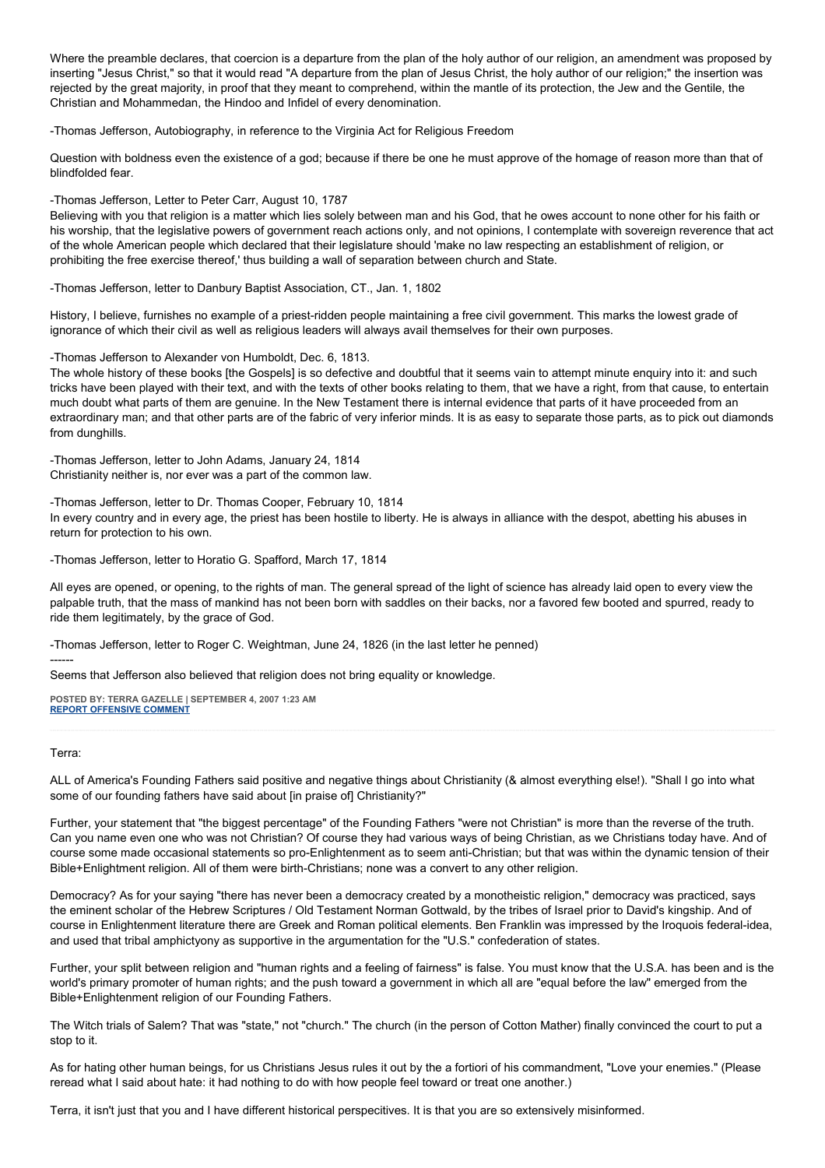Where the preamble declares, that coercion is a departure from the plan of the holy author of our religion, an amendment was proposed by inserting "Jesus Christ," so that it would read "A departure from the plan of Jesus Christ, the holy author of our religion;" the insertion was rejected by the great majority, in proof that they meant to comprehend, within the mantle of its protection, the Jew and the Gentile, the Christian and Mohammedan, the Hindoo and Infidel of every denomination.

-Thomas Jefferson, Autobiography, in reference to the Virginia Act for Religious Freedom

Question with boldness even the existence of a god; because if there be one he must approve of the homage of reason more than that of blindfolded fear.

-Thomas Jefferson, Letter to Peter Carr, August 10, 1787

Believing with you that religion is a matter which lies solely between man and his God, that he owes account to none other for his faith or his worship, that the legislative powers of government reach actions only, and not opinions, I contemplate with sovereign reverence that act of the whole American people which declared that their legislature should 'make no law respecting an establishment of religion, or prohibiting the free exercise thereof,' thus building a wall of separation between church and State.

-Thomas Jefferson, letter to Danbury Baptist Association, CT., Jan. 1, 1802

History, I believe, furnishes no example of a priest-ridden people maintaining a free civil government. This marks the lowest grade of ignorance of which their civil as well as religious leaders will always avail themselves for their own purposes.

-Thomas Jefferson to Alexander von Humboldt, Dec. 6, 1813.

The whole history of these books [the Gospels] is so defective and doubtful that it seems vain to attempt minute enquiry into it: and such tricks have been played with their text, and with the texts of other books relating to them, that we have a right, from that cause, to entertain much doubt what parts of them are genuine. In the New Testament there is internal evidence that parts of it have proceeded from an extraordinary man; and that other parts are of the fabric of very inferior minds. It is as easy to separate those parts, as to pick out diamonds from dunghills.

-Thomas Jefferson, letter to John Adams, January 24, 1814 Christianity neither is, nor ever was a part of the common law.

-Thomas Jefferson, letter to Dr. Thomas Cooper, February 10, 1814

In every country and in every age, the priest has been hostile to liberty. He is always in alliance with the despot, abetting his abuses in return for protection to his own.

-Thomas Jefferson, letter to Horatio G. Spafford, March 17, 1814

All eyes are opened, or opening, to the rights of man. The general spread of the light of science has already laid open to every view the palpable truth, that the mass of mankind has not been born with saddles on their backs, nor a favored few booted and spurred, ready to ride them legitimately, by the grace of God.

-Thomas Jefferson, letter to Roger C. Weightman, June 24, 1826 (in the last letter he penned)

Seems that Jefferson also believed that religion does not bring equality or knowledge.

**POSTED BY: TERRA GAZELLE | SEPTEMBER 4, 2007 1:23 AM [REPORT OFFENSIVE COMMENT](mailto:blogs@washingtonpost.com?subject=On%20Faith%20Panelists%20Blog%20%20%7C%20%20Terra%20Gazelle%20%20%7C%20%20Faith%20+%20Doubt%20=%20Progress%20%20%7C%20%201286768&body=%0D%0D%0D%0D%0D================%0D?__mode=view%26_type=comment%26id=1286768%26blog_id=618)**

## Terra:

------

ALL of America's Founding Fathers said positive and negative things about Christianity (& almost everything else!). "Shall I go into what some of our founding fathers have said about [in praise of] Christianity?"

Further, your statement that "the biggest percentage" of the Founding Fathers "were not Christian" is more than the reverse of the truth. Can you name even one who was not Christian? Of course they had various ways of being Christian, as we Christians today have. And of course some made occasional statements so pro-Enlightenment as to seem anti-Christian; but that was within the dynamic tension of their Bible+Enlightment religion. All of them were birth-Christians; none was a convert to any other religion.

Democracy? As for your saying "there has never been a democracy created by a monotheistic religion," democracy was practiced, says the eminent scholar of the Hebrew Scriptures / Old Testament Norman Gottwald, by the tribes of Israel prior to David's kingship. And of course in Enlightenment literature there are Greek and Roman political elements. Ben Franklin was impressed by the Iroquois federal-idea, and used that tribal amphictyony as supportive in the argumentation for the "U.S." confederation of states.

Further, your split between religion and "human rights and a feeling of fairness" is false. You must know that the U.S.A. has been and is the world's primary promoter of human rights; and the push toward a government in which all are "equal before the law" emerged from the Bible+Enlightenment religion of our Founding Fathers.

The Witch trials of Salem? That was "state," not "church." The church (in the person of Cotton Mather) finally convinced the court to put a stop to it.

As for hating other human beings, for us Christians Jesus rules it out by the a fortiori of his commandment, "Love your enemies." (Please reread what I said about hate: it had nothing to do with how people feel toward or treat one another.)

Terra, it isn't just that you and I have different historical perspecitives. It is that you are so extensively misinformed.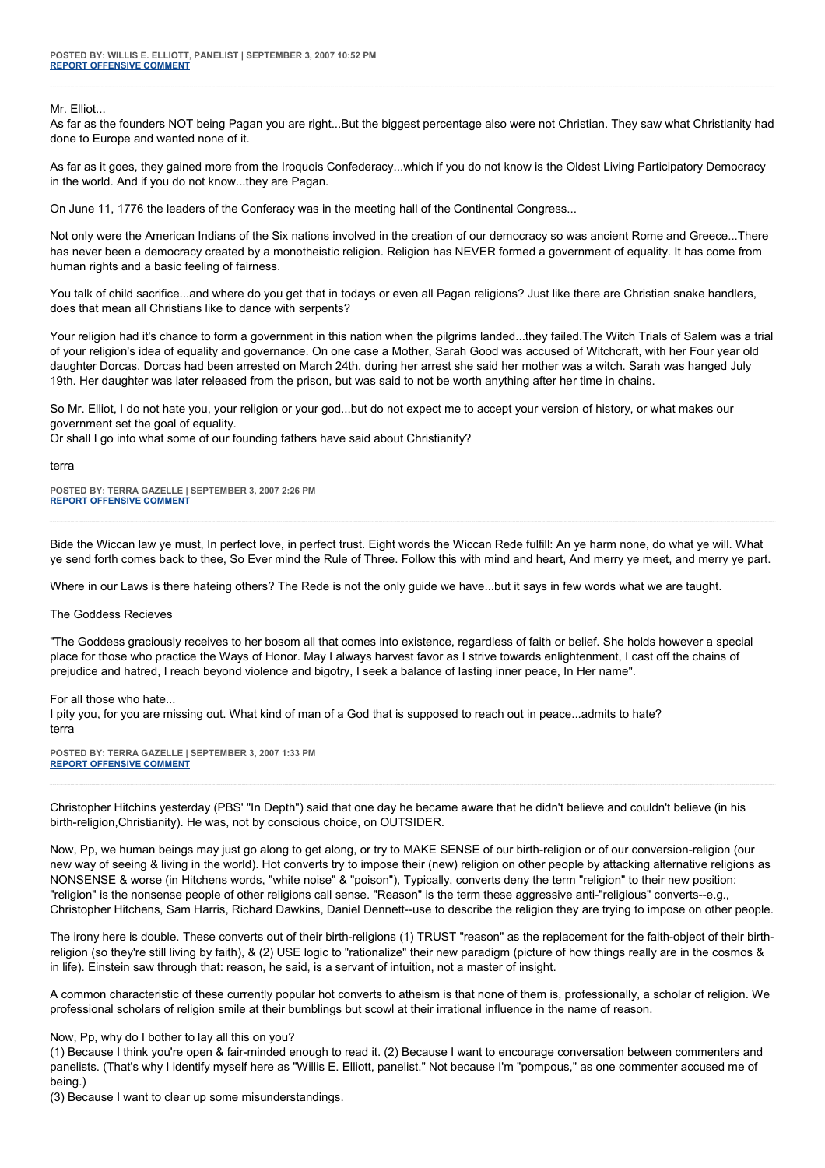## Mr. Flliot.

As far as the founders NOT being Pagan you are right...But the biggest percentage also were not Christian. They saw what Christianity had done to Europe and wanted none of it.

As far as it goes, they gained more from the Iroquois Confederacy...which if you do not know is the Oldest Living Participatory Democracy in the world. And if you do not know...they are Pagan.

On June 11, 1776 the leaders of the Conferacy was in the meeting hall of the Continental Congress...

Not only were the American Indians of the Six nations involved in the creation of our democracy so was ancient Rome and Greece...There has never been a democracy created by a monotheistic religion. Religion has NEVER formed a government of equality. It has come from human rights and a basic feeling of fairness.

You talk of child sacrifice...and where do you get that in todays or even all Pagan religions? Just like there are Christian snake handlers, does that mean all Christians like to dance with serpents?

Your religion had it's chance to form a government in this nation when the pilgrims landed...they failed.The Witch Trials of Salem was a trial of your religion's idea of equality and governance. On one case a Mother, Sarah Good was accused of Witchcraft, with her Four year old daughter Dorcas. Dorcas had been arrested on March 24th, during her arrest she said her mother was a witch. Sarah was hanged July 19th. Her daughter was later released from the prison, but was said to not be worth anything after her time in chains.

So Mr. Elliot, I do not hate you, your religion or your god...but do not expect me to accept your version of history, or what makes our government set the goal of equality.

Or shall I go into what some of our founding fathers have said about Christianity?

#### terra

**POSTED BY: TERRA GAZELLE | SEPTEMBER 3, 2007 2:26 PM [REPORT OFFENSIVE COMMENT](mailto:blogs@washingtonpost.com?subject=On%20Faith%20Panelists%20Blog%20%20%7C%20%20Terra%20Gazelle%20%20%7C%20%20Faith%20+%20Doubt%20=%20Progress%20%20%7C%20%201285341&body=%0D%0D%0D%0D%0D================%0D?__mode=view%26_type=comment%26id=1285341%26blog_id=618)**

Bide the Wiccan law ye must, In perfect love, in perfect trust. Eight words the Wiccan Rede fulfill: An ye harm none, do what ye will. What ye send forth comes back to thee, So Ever mind the Rule of Three. Follow this with mind and heart, And merry ye meet, and merry ye part.

Where in our Laws is there hateing others? The Rede is not the only guide we have...but it says in few words what we are taught.

#### The Goddess Recieves

"The Goddess graciously receives to her bosom all that comes into existence, regardless of faith or belief. She holds however a special place for those who practice the Ways of Honor. May I always harvest favor as I strive towards enlightenment, I cast off the chains of prejudice and hatred, I reach beyond violence and bigotry, I seek a balance of lasting inner peace, In Her name".

#### For all those who hate...

I pity you, for you are missing out. What kind of man of a God that is supposed to reach out in peace...admits to hate? terra

**POSTED BY: TERRA GAZELLE | SEPTEMBER 3, 2007 1:33 PM [REPORT OFFENSIVE COMMENT](mailto:blogs@washingtonpost.com?subject=On%20Faith%20Panelists%20Blog%20%20%7C%20%20Terra%20Gazelle%20%20%7C%20%20Faith%20+%20Doubt%20=%20Progress%20%20%7C%20%201285236&body=%0D%0D%0D%0D%0D================%0D?__mode=view%26_type=comment%26id=1285236%26blog_id=618)**

Christopher Hitchins yesterday (PBS' "In Depth") said that one day he became aware that he didn't believe and couldn't believe (in his birth-religion,Christianity). He was, not by conscious choice, on OUTSIDER.

Now, Pp, we human beings may just go along to get along, or try to MAKE SENSE of our birth-religion or of our conversion-religion (our new way of seeing & living in the world). Hot converts try to impose their (new) religion on other people by attacking alternative religions as NONSENSE & worse (in Hitchens words, "white noise" & "poison"), Typically, converts deny the term "religion" to their new position: "religion" is the nonsense people of other religions call sense. "Reason" is the term these aggressive anti-"religious" converts--e.g., Christopher Hitchens, Sam Harris, Richard Dawkins, Daniel Dennett--use to describe the religion they are trying to impose on other people.

The irony here is double. These converts out of their birth-religions (1) TRUST "reason" as the replacement for the faith-object of their birthreligion (so they're still living by faith), & (2) USE logic to "rationalize" their new paradigm (picture of how things really are in the cosmos & in life). Einstein saw through that: reason, he said, is a servant of intuition, not a master of insight.

A common characteristic of these currently popular hot converts to atheism is that none of them is, professionally, a scholar of religion. We professional scholars of religion smile at their bumblings but scowl at their irrational influence in the name of reason.

#### Now, Pp, why do I bother to lay all this on you?

(1) Because I think you're open & fair-minded enough to read it. (2) Because I want to encourage conversation between commenters and panelists. (That's why I identify myself here as "Willis E. Elliott, panelist." Not because I'm "pompous," as one commenter accused me of being.)

(3) Because I want to clear up some misunderstandings.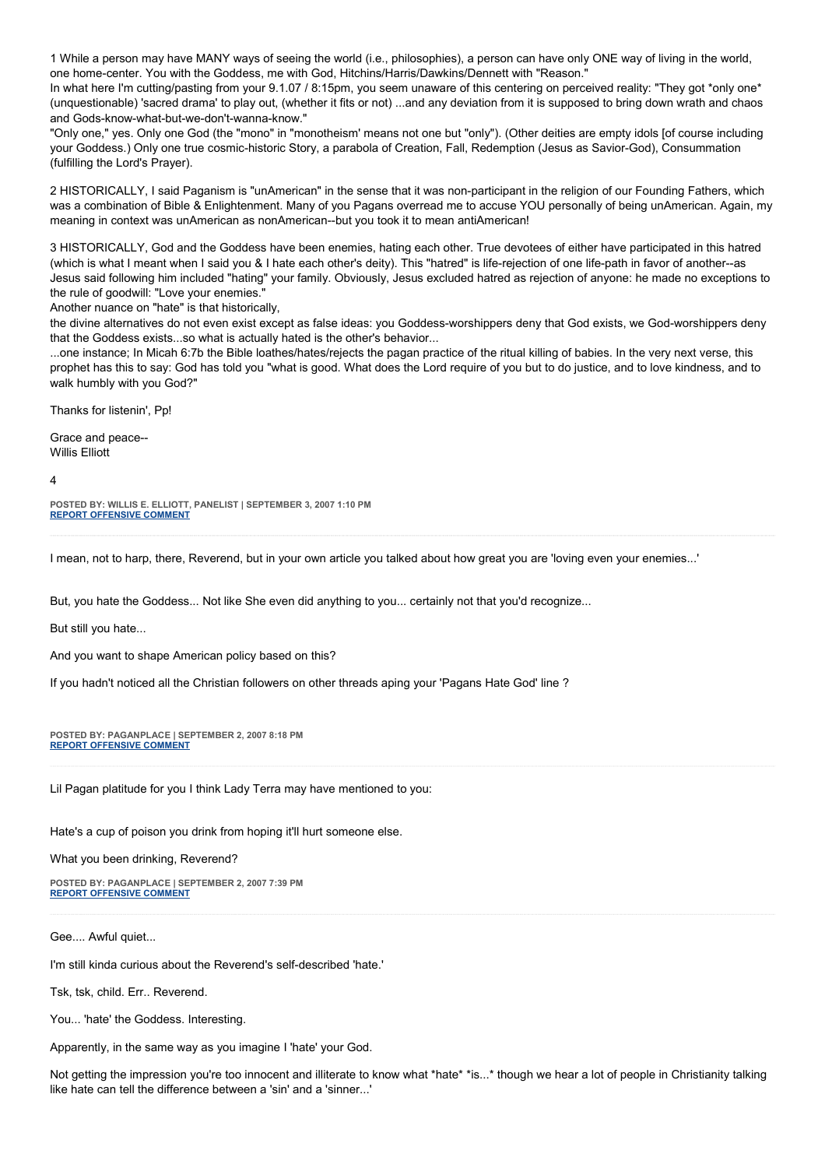1 While a person may have MANY ways of seeing the world (i.e., philosophies), a person can have only ONE way of living in the world, one home-center. You with the Goddess, me with God, Hitchins/Harris/Dawkins/Dennett with "Reason."

In what here I'm cutting/pasting from your 9.1.07 / 8:15pm, you seem unaware of this centering on perceived reality: "They got \*only one\* (unquestionable) 'sacred drama' to play out, (whether it fits or not) ...and any deviation from it is supposed to bring down wrath and chaos and Gods-know-what-but-we-don't-wanna-know."

"Only one," yes. Only one God (the "mono" in "monotheism' means not one but "only"). (Other deities are empty idols [of course including your Goddess.) Only one true cosmic-historic Story, a parabola of Creation, Fall, Redemption (Jesus as Savior-God), Consummation (fulfilling the Lord's Prayer).

2 HISTORICALLY, I said Paganism is "unAmerican" in the sense that it was non-participant in the religion of our Founding Fathers, which was a combination of Bible & Enlightenment. Many of you Pagans overread me to accuse YOU personally of being unAmerican. Again, my meaning in context was unAmerican as nonAmerican--but you took it to mean antiAmerican!

3 HISTORICALLY, God and the Goddess have been enemies, hating each other. True devotees of either have participated in this hatred (which is what I meant when I said you & I hate each other's deity). This "hatred" is life-rejection of one life-path in favor of another--as Jesus said following him included "hating" your family. Obviously, Jesus excluded hatred as rejection of anyone: he made no exceptions to the rule of goodwill: "Love your enemies.'

Another nuance on "hate" is that historically,

the divine alternatives do not even exist except as false ideas: you Goddess-worshippers deny that God exists, we God-worshippers deny that the Goddess exists...so what is actually hated is the other's behavior...

...one instance; In Micah 6:7b the Bible loathes/hates/rejects the pagan practice of the ritual killing of babies. In the very next verse, this prophet has this to say: God has told you "what is good. What does the Lord require of you but to do justice, and to love kindness, and to walk humbly with you God?"

Thanks for listenin', Pp!

Grace and peace-- Willis Elliott

4

**POSTED BY: WILLIS E. ELLIOTT, PANELIST | SEPTEMBER 3, 2007 1:10 PM [REPORT OFFENSIVE COMMENT](mailto:blogs@washingtonpost.com?subject=On%20Faith%20Panelists%20Blog%20%20%7C%20%20Willis%20E.%20Elliott,%20panelist%20%20%7C%20%20Faith%20+%20Doubt%20=%20Progress%20%20%7C%20%201285185&body=%0D%0D%0D%0D%0D================%0D?__mode=view%26_type=comment%26id=1285185%26blog_id=618)**

I mean, not to harp, there, Reverend, but in your own article you talked about how great you are 'loving even your enemies...'

But, you hate the Goddess... Not like She even did anything to you... certainly not that you'd recognize...

But still you hate...

And you want to shape American policy based on this?

If you hadn't noticed all the Christian followers on other threads aping your 'Pagans Hate God' line ?

**POSTED BY: PAGANPLACE | SEPTEMBER 2, 2007 8:18 PM [REPORT OFFENSIVE COMMENT](mailto:blogs@washingtonpost.com?subject=On%20Faith%20Panelists%20Blog%20%20%7C%20%20Paganplace%20%20%7C%20%20Faith%20+%20Doubt%20=%20Progress%20%20%7C%20%201283167&body=%0D%0D%0D%0D%0D================%0D?__mode=view%26_type=comment%26id=1283167%26blog_id=618)**

Lil Pagan platitude for you I think Lady Terra may have mentioned to you:

Hate's a cup of poison you drink from hoping it'll hurt someone else.

What you been drinking, Reverend?

**POSTED BY: PAGANPLACE | SEPTEMBER 2, 2007 7:39 PM [REPORT OFFENSIVE COMMENT](mailto:blogs@washingtonpost.com?subject=On%20Faith%20Panelists%20Blog%20%20%7C%20%20Paganplace%20%20%7C%20%20Faith%20+%20Doubt%20=%20Progress%20%20%7C%20%201283091&body=%0D%0D%0D%0D%0D================%0D?__mode=view%26_type=comment%26id=1283091%26blog_id=618)**

Gee.... Awful quiet...

I'm still kinda curious about the Reverend's self-described 'hate.'

Tsk, tsk, child. Err.. Reverend.

You... 'hate' the Goddess. Interesting.

Apparently, in the same way as you imagine I 'hate' your God.

Not getting the impression you're too innocent and illiterate to know what \*hate\* \*is...\* though we hear a lot of people in Christianity talking like hate can tell the difference between a 'sin' and a 'sinner...'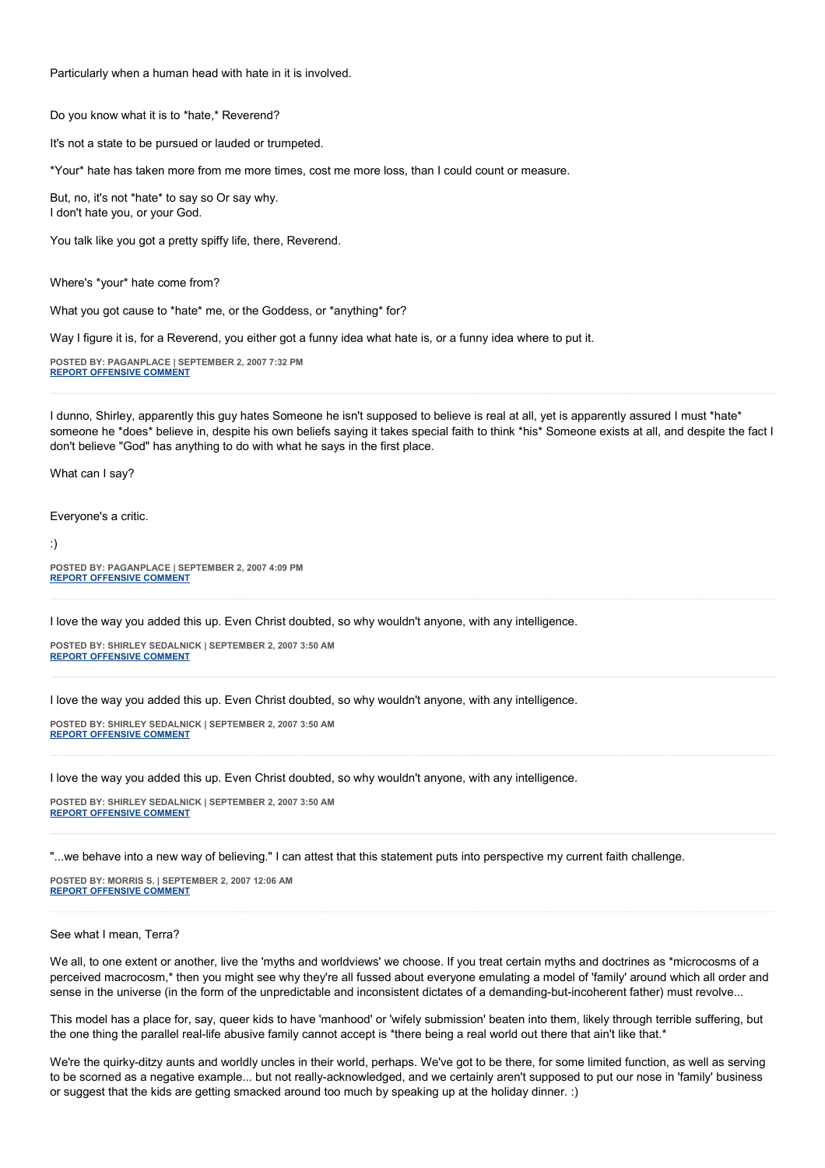Particularly when a human head with hate in it is involved.

Do you know what it is to \*hate,\* Reverend?

It's not a state to be pursued or lauded or trumpeted.

\*Your\* hate has taken more from me more times, cost me more loss, than I could count or measure.

But, no, it's not \*hate\* to say so Or say why. I don't hate you, or your God.

You talk like you got a pretty spiffy life, there, Reverend.

Where's \*your\* hate come from?

What you got cause to \*hate\* me, or the Goddess, or \*anything\* for?

Way I figure it is, for a Reverend, you either got a funny idea what hate is, or a funny idea where to put it.

**POSTED BY: PAGANPLACE | SEPTEMBER 2, 2007 7:32 PM [REPORT OFFENSIVE COMMENT](mailto:blogs@washingtonpost.com?subject=On%20Faith%20Panelists%20Blog%20%20%7C%20%20Paganplace%20%20%7C%20%20Faith%20+%20Doubt%20=%20Progress%20%20%7C%20%201283077&body=%0D%0D%0D%0D%0D================%0D?__mode=view%26_type=comment%26id=1283077%26blog_id=618)**

I dunno, Shirley, apparently this guy hates Someone he isn't supposed to believe is real at all, yet is apparently assured I must \*hate\* someone he \*does\* believe in, despite his own beliefs saying it takes special faith to think \*his\* Someone exists at all, and despite the fact I don't believe "God" has anything to do with what he says in the first place.

What can I say?

Everyone's a critic.

:)

**POSTED BY: PAGANPLACE | SEPTEMBER 2, 2007 4:09 PM [REPORT OFFENSIVE COMMENT](mailto:blogs@washingtonpost.com?subject=On%20Faith%20Panelists%20Blog%20%20%7C%20%20Paganplace%20%20%7C%20%20Faith%20+%20Doubt%20=%20Progress%20%20%7C%20%201282628&body=%0D%0D%0D%0D%0D================%0D?__mode=view%26_type=comment%26id=1282628%26blog_id=618)**

I love the way you added this up. Even Christ doubted, so why wouldn't anyone, with any intelligence.

**POSTED BY: SHIRLEY SEDALNICK | SEPTEMBER 2, 2007 3:50 AM [REPORT OFFENSIVE COMMENT](mailto:blogs@washingtonpost.com?subject=On%20Faith%20Panelists%20Blog%20%20%7C%20%20Shirley%20Sedalnick%20%20%7C%20%20Faith%20+%20Doubt%20=%20Progress%20%20%7C%20%201280918&body=%0D%0D%0D%0D%0D================%0D?__mode=view%26_type=comment%26id=1280918%26blog_id=618)**

I love the way you added this up. Even Christ doubted, so why wouldn't anyone, with any intelligence.

**POSTED BY: SHIRLEY SEDALNICK | SEPTEMBER 2, 2007 3:50 AM [REPORT OFFENSIVE COMMENT](mailto:blogs@washingtonpost.com?subject=On%20Faith%20Panelists%20Blog%20%20%7C%20%20Shirley%20Sedalnick%20%20%7C%20%20Faith%20+%20Doubt%20=%20Progress%20%20%7C%20%201280917&body=%0D%0D%0D%0D%0D================%0D?__mode=view%26_type=comment%26id=1280917%26blog_id=618)**

I love the way you added this up. Even Christ doubted, so why wouldn't anyone, with any intelligence.

**POSTED BY: SHIRLEY SEDALNICK | SEPTEMBER 2, 2007 3:50 AM [REPORT OFFENSIVE COMMENT](mailto:blogs@washingtonpost.com?subject=On%20Faith%20Panelists%20Blog%20%20%7C%20%20Shirley%20Sedalnick%20%20%7C%20%20Faith%20+%20Doubt%20=%20Progress%20%20%7C%20%201280916&body=%0D%0D%0D%0D%0D================%0D?__mode=view%26_type=comment%26id=1280916%26blog_id=618)**

"...we behave into a new way of believing." I can attest that this statement puts into perspective my current faith challenge.

**POSTED BY: MORRIS S. | SEPTEMBER 2, 2007 12:06 AM [REPORT OFFENSIVE COMMENT](mailto:blogs@washingtonpost.com?subject=On%20Faith%20Panelists%20Blog%20%20%7C%20%20Morris%20S.%20%20%7C%20%20Faith%20+%20Doubt%20=%20Progress%20%20%7C%20%201280533&body=%0D%0D%0D%0D%0D================%0D?__mode=view%26_type=comment%26id=1280533%26blog_id=618)**

## See what I mean, Terra?

We all, to one extent or another, live the 'myths and worldviews' we choose. If you treat certain myths and doctrines as \*microcosms of a perceived macrocosm,\* then you might see why they're all fussed about everyone emulating a model of 'family' around which all order and sense in the universe (in the form of the unpredictable and inconsistent dictates of a demanding-but-incoherent father) must revolve...

This model has a place for, say, queer kids to have 'manhood' or 'wifely submission' beaten into them, likely through terrible suffering, but the one thing the parallel real-life abusive family cannot accept is \*there being a real world out there that ain't like that.\*

We're the quirky-ditzy aunts and worldly uncles in their world, perhaps. We've got to be there, for some limited function, as well as serving to be scorned as a negative example... but not really-acknowledged, and we certainly aren't supposed to put our nose in 'family' business or suggest that the kids are getting smacked around too much by speaking up at the holiday dinner. :)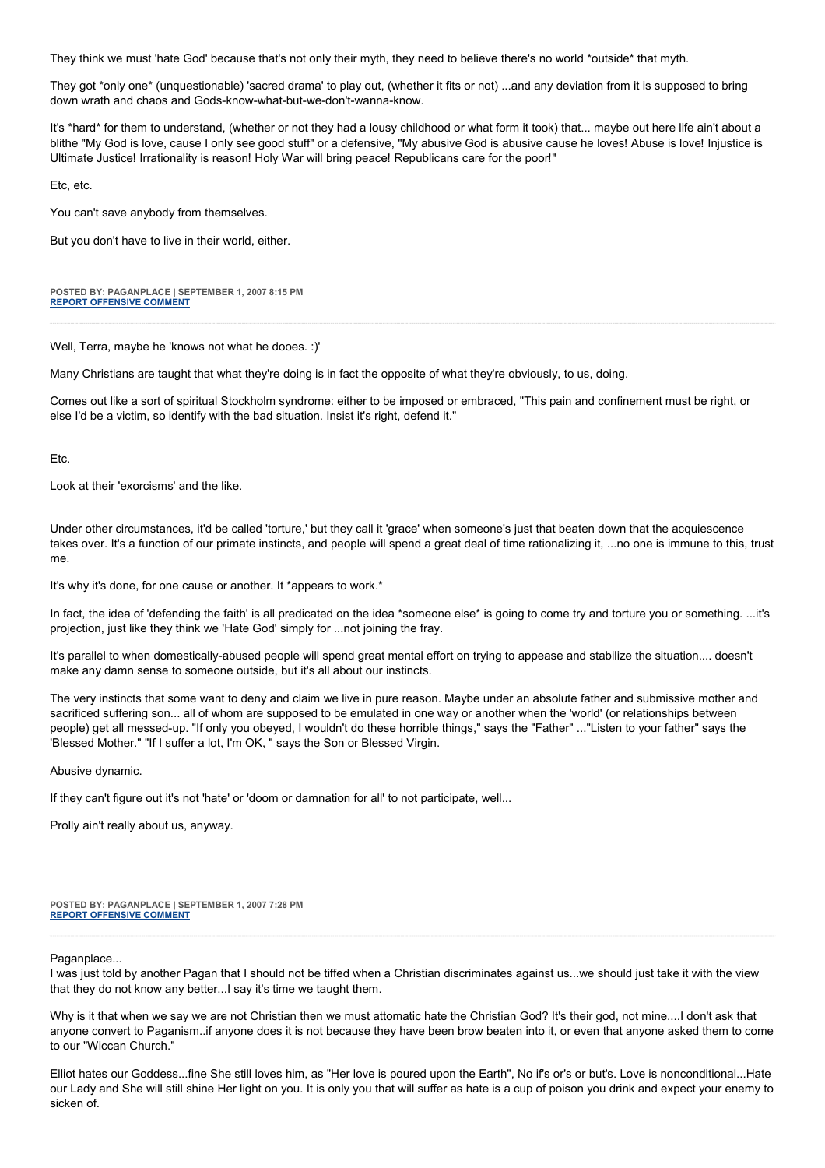They think we must 'hate God' because that's not only their myth, they need to believe there's no world \*outside\* that myth.

They got \*only one\* (unquestionable) 'sacred drama' to play out, (whether it fits or not) ...and any deviation from it is supposed to bring down wrath and chaos and Gods-know-what-but-we-don't-wanna-know.

It's \*hard\* for them to understand, (whether or not they had a lousy childhood or what form it took) that... maybe out here life ain't about a blithe "My God is love, cause I only see good stuff" or a defensive, "My abusive God is abusive cause he loves! Abuse is love! Injustice is Ultimate Justice! Irrationality is reason! Holy War will bring peace! Republicans care for the poor!"

Etc, etc.

You can't save anybody from themselves.

But you don't have to live in their world, either.

**POSTED BY: PAGANPLACE | SEPTEMBER 1, 2007 8:15 PM [REPORT OFFENSIVE COMMENT](mailto:blogs@washingtonpost.com?subject=On%20Faith%20Panelists%20Blog%20%20%7C%20%20Paganplace%20%20%7C%20%20Faith%20+%20Doubt%20=%20Progress%20%20%7C%20%201280097&body=%0D%0D%0D%0D%0D================%0D?__mode=view%26_type=comment%26id=1280097%26blog_id=618)**

Well, Terra, maybe he 'knows not what he dooes. :)'

Many Christians are taught that what they're doing is in fact the opposite of what they're obviously, to us, doing.

Comes out like a sort of spiritual Stockholm syndrome: either to be imposed or embraced, "This pain and confinement must be right, or else I'd be a victim, so identify with the bad situation. Insist it's right, defend it."

Etc.

Look at their 'exorcisms' and the like.

Under other circumstances, it'd be called 'torture,' but they call it 'grace' when someone's just that beaten down that the acquiescence takes over. It's a function of our primate instincts, and people will spend a great deal of time rationalizing it, ...no one is immune to this, trust me.

It's why it's done, for one cause or another. It \*appears to work.\*

In fact, the idea of 'defending the faith' is all predicated on the idea \*someone else\* is going to come try and torture you or something. ...it's projection, just like they think we 'Hate God' simply for ...not joining the fray.

It's parallel to when domestically-abused people will spend great mental effort on trying to appease and stabilize the situation.... doesn't make any damn sense to someone outside, but it's all about our instincts.

The very instincts that some want to deny and claim we live in pure reason. Maybe under an absolute father and submissive mother and sacrificed suffering son... all of whom are supposed to be emulated in one way or another when the 'world' (or relationships between people) get all messed-up. "If only you obeyed, I wouldn't do these horrible things," says the "Father" ..."Listen to your father" says the 'Blessed Mother." "If I suffer a lot, I'm OK, " says the Son or Blessed Virgin.

Abusive dynamic.

If they can't figure out it's not 'hate' or 'doom or damnation for all' to not participate, well...

Prolly ain't really about us, anyway.

**POSTED BY: PAGANPLACE | SEPTEMBER 1, 2007 7:28 PM [REPORT OFFENSIVE COMMENT](mailto:blogs@washingtonpost.com?subject=On%20Faith%20Panelists%20Blog%20%20%7C%20%20Paganplace%20%20%7C%20%20Faith%20+%20Doubt%20=%20Progress%20%20%7C%20%201280036&body=%0D%0D%0D%0D%0D================%0D?__mode=view%26_type=comment%26id=1280036%26blog_id=618)**

#### Paganplace...

I was just told by another Pagan that I should not be tiffed when a Christian discriminates against us...we should just take it with the view that they do not know any better...I say it's time we taught them.

Why is it that when we say we are not Christian then we must attomatic hate the Christian God? It's their god, not mine....I don't ask that anyone convert to Paganism..if anyone does it is not because they have been brow beaten into it, or even that anyone asked them to come to our "Wiccan Church."

Elliot hates our Goddess...fine She still loves him, as "Her love is poured upon the Earth", No if's or's or but's. Love is nonconditional...Hate our Lady and She will still shine Her light on you. It is only you that will suffer as hate is a cup of poison you drink and expect your enemy to sicken of.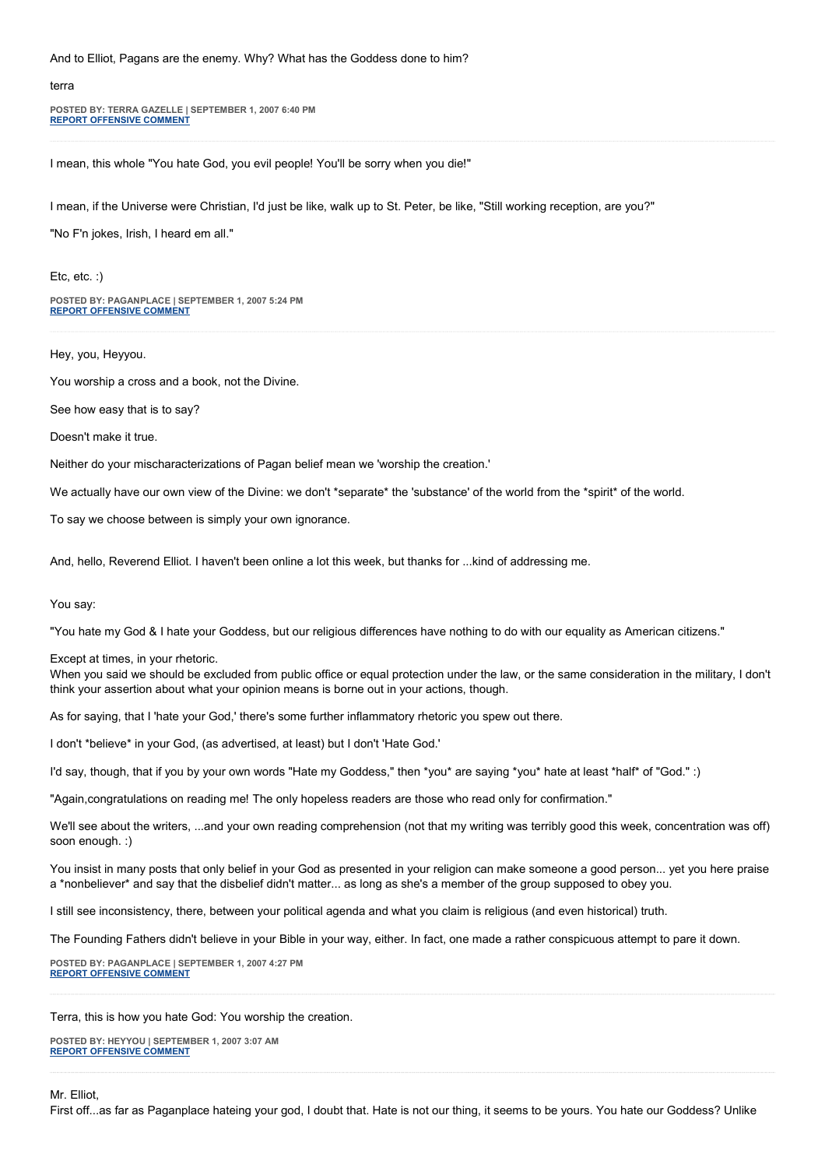And to Elliot, Pagans are the enemy. Why? What has the Goddess done to him?

#### terra

**POSTED BY: TERRA GAZELLE | SEPTEMBER 1, 2007 6:40 PM [REPORT OFFENSIVE COMMENT](mailto:blogs@washingtonpost.com?subject=On%20Faith%20Panelists%20Blog%20%20%7C%20%20Terra%20Gazelle%20%20%7C%20%20Faith%20+%20Doubt%20=%20Progress%20%20%7C%20%201279949&body=%0D%0D%0D%0D%0D================%0D?__mode=view%26_type=comment%26id=1279949%26blog_id=618)**

I mean, this whole "You hate God, you evil people! You'll be sorry when you die!"

I mean, if the Universe were Christian, I'd just be like, walk up to St. Peter, be like, "Still working reception, are you?"

"No F'n jokes, Irish, I heard em all."

Etc, etc. :)

**POSTED BY: PAGANPLACE | SEPTEMBER 1, 2007 5:24 PM [REPORT OFFENSIVE COMMENT](mailto:blogs@washingtonpost.com?subject=On%20Faith%20Panelists%20Blog%20%20%7C%20%20Paganplace%20%20%7C%20%20Faith%20+%20Doubt%20=%20Progress%20%20%7C%20%201279794&body=%0D%0D%0D%0D%0D================%0D?__mode=view%26_type=comment%26id=1279794%26blog_id=618)**

Hey, you, Heyyou.

You worship a cross and a book, not the Divine.

See how easy that is to say?

Doesn't make it true.

Neither do your mischaracterizations of Pagan belief mean we 'worship the creation.'

We actually have our own view of the Divine: we don't \*separate\* the 'substance' of the world from the \*spirit\* of the world.

To say we choose between is simply your own ignorance.

And, hello, Reverend Elliot. I haven't been online a lot this week, but thanks for ...kind of addressing me.

#### You say:

"You hate my God & I hate your Goddess, but our religious differences have nothing to do with our equality as American citizens."

Except at times, in your rhetoric.

When you said we should be excluded from public office or equal protection under the law, or the same consideration in the military, I don't think your assertion about what your opinion means is borne out in your actions, though.

As for saying, that I 'hate your God,' there's some further inflammatory rhetoric you spew out there.

I don't \*believe\* in your God, (as advertised, at least) but I don't 'Hate God.'

I'd say, though, that if you by your own words "Hate my Goddess," then \*you\* are saying \*you\* hate at least \*half\* of "God." :)

"Again,congratulations on reading me! The only hopeless readers are those who read only for confirmation."

We'll see about the writers, ...and your own reading comprehension (not that my writing was terribly good this week, concentration was off) soon enough. :)

You insist in many posts that only belief in your God as presented in your religion can make someone a good person... yet you here praise a \*nonbeliever\* and say that the disbelief didn't matter... as long as she's a member of the group supposed to obey you.

I still see inconsistency, there, between your political agenda and what you claim is religious (and even historical) truth.

The Founding Fathers didn't believe in your Bible in your way, either. In fact, one made a rather conspicuous attempt to pare it down.

**POSTED BY: PAGANPLACE | SEPTEMBER 1, 2007 4:27 PM [REPORT OFFENSIVE COMMENT](mailto:blogs@washingtonpost.com?subject=On%20Faith%20Panelists%20Blog%20%20%7C%20%20Paganplace%20%20%7C%20%20Faith%20+%20Doubt%20=%20Progress%20%20%7C%20%201279676&body=%0D%0D%0D%0D%0D================%0D?__mode=view%26_type=comment%26id=1279676%26blog_id=618)**

Terra, this is how you hate God: You worship the creation.

**POSTED BY: HEYYOU | SEPTEMBER 1, 2007 3:07 AM [REPORT OFFENSIVE COMMENT](mailto:blogs@washingtonpost.com?subject=On%20Faith%20Panelists%20Blog%20%20%7C%20%20HeyYOU%20%20%7C%20%20Faith%20+%20Doubt%20=%20Progress%20%20%7C%20%201278307&body=%0D%0D%0D%0D%0D================%0D?__mode=view%26_type=comment%26id=1278307%26blog_id=618)**

First off...as far as Paganplace hateing your god, I doubt that. Hate is not our thing, it seems to be yours. You hate our Goddess? Unlike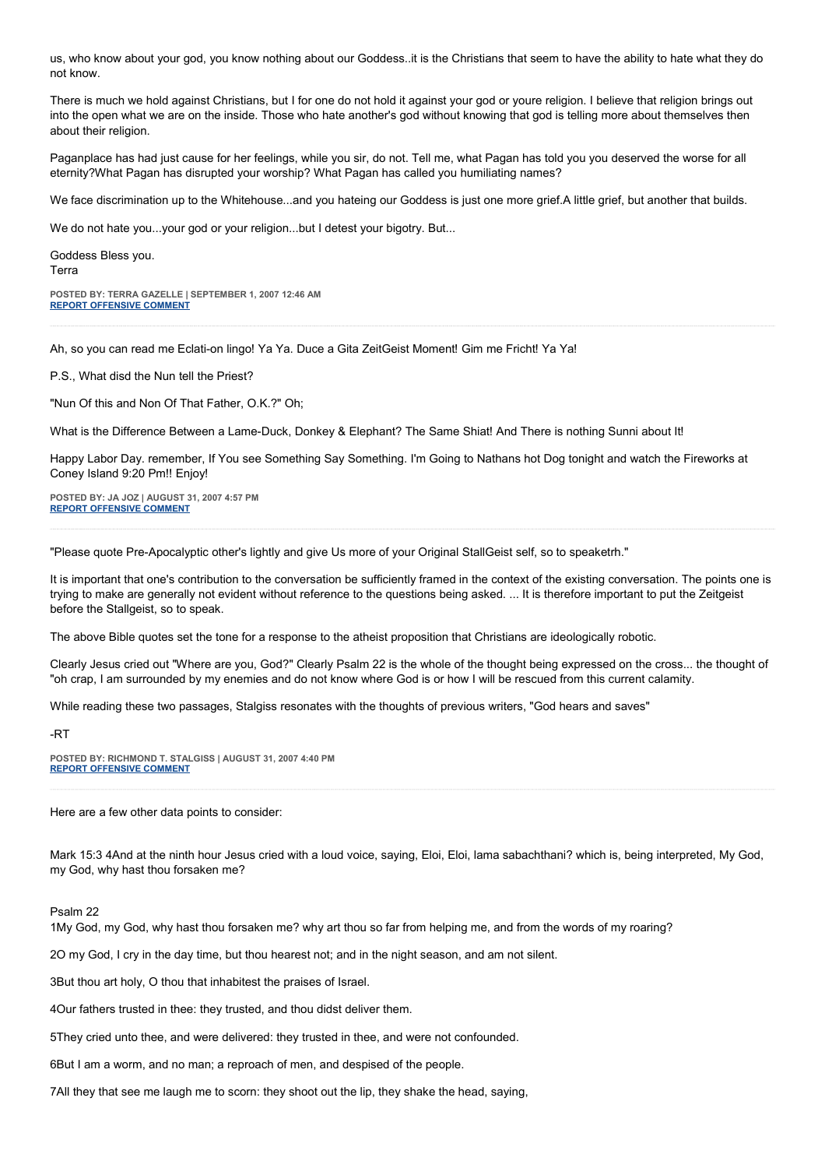us, who know about your god, you know nothing about our Goddess..it is the Christians that seem to have the ability to hate what they do not know.

There is much we hold against Christians, but I for one do not hold it against your god or youre religion. I believe that religion brings out into the open what we are on the inside. Those who hate another's god without knowing that god is telling more about themselves then about their religion.

Paganplace has had just cause for her feelings, while you sir, do not. Tell me, what Pagan has told you you deserved the worse for all eternity?What Pagan has disrupted your worship? What Pagan has called you humiliating names?

We face discrimination up to the Whitehouse...and you hateing our Goddess is just one more grief.A little grief, but another that builds.

We do not hate you...your god or your religion...but I detest your bigotry. But...

Goddess Bless you. Terra

**POSTED BY: TERRA GAZELLE | SEPTEMBER 1, 2007 12:46 AM [REPORT OFFENSIVE COMMENT](mailto:blogs@washingtonpost.com?subject=On%20Faith%20Panelists%20Blog%20%20%7C%20%20Terra%20Gazelle%20%20%7C%20%20Faith%20+%20Doubt%20=%20Progress%20%20%7C%20%201278048&body=%0D%0D%0D%0D%0D================%0D?__mode=view%26_type=comment%26id=1278048%26blog_id=618)**

Ah, so you can read me Eclati-on lingo! Ya Ya. Duce a Gita ZeitGeist Moment! Gim me Fricht! Ya Ya!

P.S., What disd the Nun tell the Priest?

"Nun Of this and Non Of That Father, O.K.?" Oh;

What is the Difference Between a Lame-Duck, Donkey & Elephant? The Same Shiat! And There is nothing Sunni about It!

Happy Labor Day. remember, If You see Something Say Something. I'm Going to Nathans hot Dog tonight and watch the Fireworks at Coney Island 9:20 Pm!! Enjoy!

**POSTED BY: JA JOZ | AUGUST 31, 2007 4:57 PM [REPORT OFFENSIVE COMMENT](mailto:blogs@washingtonpost.com?subject=On%20Faith%20Panelists%20Blog%20%20%7C%20%20Ja%20Joz%20%20%7C%20%20Faith%20+%20Doubt%20=%20Progress%20%20%7C%20%201277272&body=%0D%0D%0D%0D%0D================%0D?__mode=view%26_type=comment%26id=1277272%26blog_id=618)**

"Please quote Pre-Apocalyptic other's lightly and give Us more of your Original StallGeist self, so to speaketrh."

It is important that one's contribution to the conversation be sufficiently framed in the context of the existing conversation. The points one is trying to make are generally not evident without reference to the questions being asked. ... It is therefore important to put the Zeitgeist before the Stallgeist, so to speak.

The above Bible quotes set the tone for a response to the atheist proposition that Christians are ideologically robotic.

Clearly Jesus cried out "Where are you, God?" Clearly Psalm 22 is the whole of the thought being expressed on the cross... the thought of "oh crap, I am surrounded by my enemies and do not know where God is or how I will be rescued from this current calamity.

While reading these two passages, Stalgiss resonates with the thoughts of previous writers, "God hears and saves"

-RT

**POSTED BY: RICHMOND T. STALGISS | AUGUST 31, 2007 4:40 PM [REPORT OFFENSIVE COMMENT](mailto:blogs@washingtonpost.com?subject=On%20Faith%20Panelists%20Blog%20%20%7C%20%20Richmond%20T.%20Stalgiss%20%20%7C%20%20Faith%20+%20Doubt%20=%20Progress%20%20%7C%20%201277209&body=%0D%0D%0D%0D%0D================%0D?__mode=view%26_type=comment%26id=1277209%26blog_id=618)**

Here are a few other data points to consider:

Mark 15:3 4And at the ninth hour Jesus cried with a loud voice, saying, Eloi, Eloi, lama sabachthani? which is, being interpreted, My God, my God, why hast thou forsaken me?

Psalm 22

1My God, my God, why hast thou forsaken me? why art thou so far from helping me, and from the words of my roaring?

2O my God, I cry in the day time, but thou hearest not; and in the night season, and am not silent.

3But thou art holy, O thou that inhabitest the praises of Israel.

4Our fathers trusted in thee: they trusted, and thou didst deliver them.

5They cried unto thee, and were delivered: they trusted in thee, and were not confounded.

6But I am a worm, and no man; a reproach of men, and despised of the people.

7All they that see me laugh me to scorn: they shoot out the lip, they shake the head, saying,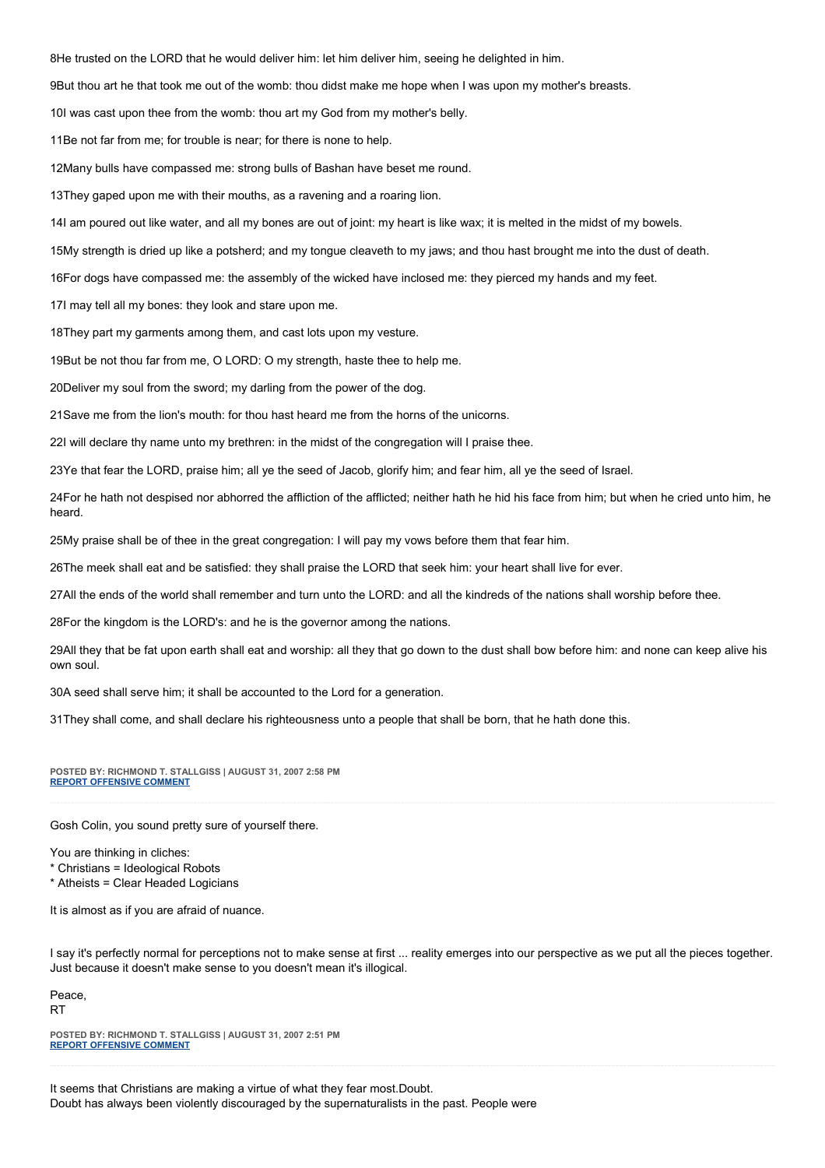8He trusted on the LORD that he would deliver him: let him deliver him, seeing he delighted in him.

9But thou art he that took me out of the womb: thou didst make me hope when I was upon my mother's breasts.

10I was cast upon thee from the womb: thou art my God from my mother's belly.

11Be not far from me; for trouble is near; for there is none to help.

12Many bulls have compassed me: strong bulls of Bashan have beset me round.

13They gaped upon me with their mouths, as a ravening and a roaring lion.

14I am poured out like water, and all my bones are out of joint: my heart is like wax; it is melted in the midst of my bowels.

15My strength is dried up like a potsherd; and my tongue cleaveth to my jaws; and thou hast brought me into the dust of death.

16For dogs have compassed me: the assembly of the wicked have inclosed me: they pierced my hands and my feet.

17I may tell all my bones: they look and stare upon me.

18They part my garments among them, and cast lots upon my vesture.

19But be not thou far from me, O LORD: O my strength, haste thee to help me.

20Deliver my soul from the sword; my darling from the power of the dog.

21Save me from the lion's mouth: for thou hast heard me from the horns of the unicorns.

22I will declare thy name unto my brethren: in the midst of the congregation will I praise thee.

23Ye that fear the LORD, praise him; all ye the seed of Jacob, glorify him; and fear him, all ye the seed of Israel.

24For he hath not despised nor abhorred the affliction of the afflicted; neither hath he hid his face from him; but when he cried unto him, he heard.

25My praise shall be of thee in the great congregation: I will pay my vows before them that fear him.

26The meek shall eat and be satisfied: they shall praise the LORD that seek him: your heart shall live for ever.

27All the ends of the world shall remember and turn unto the LORD: and all the kindreds of the nations shall worship before thee.

28For the kingdom is the LORD's: and he is the governor among the nations.

29All they that be fat upon earth shall eat and worship: all they that go down to the dust shall bow before him: and none can keep alive his own soul.

30A seed shall serve him; it shall be accounted to the Lord for a generation.

31They shall come, and shall declare his righteousness unto a people that shall be born, that he hath done this.

**POSTED BY: RICHMOND T. STALLGISS | AUGUST 31, 2007 2:58 PM [REPORT OFFENSIVE COMMENT](mailto:blogs@washingtonpost.com?subject=On%20Faith%20Panelists%20Blog%20%20%7C%20%20Richmond%20T.%20Stallgiss%20%20%7C%20%20Faith%20+%20Doubt%20=%20Progress%20%20%7C%20%201276938&body=%0D%0D%0D%0D%0D================%0D?__mode=view%26_type=comment%26id=1276938%26blog_id=618)**

Gosh Colin, you sound pretty sure of yourself there.

You are thinking in cliches:

\* Christians = Ideological Robots

\* Atheists = Clear Headed Logicians

It is almost as if you are afraid of nuance.

I say it's perfectly normal for perceptions not to make sense at first ... reality emerges into our perspective as we put all the pieces together. Just because it doesn't make sense to you doesn't mean it's illogical.

Peace, **RT** 

**POSTED BY: RICHMOND T. STALLGISS | AUGUST 31, 2007 2:51 PM [REPORT OFFENSIVE COMMENT](mailto:blogs@washingtonpost.com?subject=On%20Faith%20Panelists%20Blog%20%20%7C%20%20Richmond%20T.%20Stallgiss%20%20%7C%20%20Faith%20+%20Doubt%20=%20Progress%20%20%7C%20%201276927&body=%0D%0D%0D%0D%0D================%0D?__mode=view%26_type=comment%26id=1276927%26blog_id=618)**

It seems that Christians are making a virtue of what they fear most.Doubt. Doubt has always been violently discouraged by the supernaturalists in the past. People were